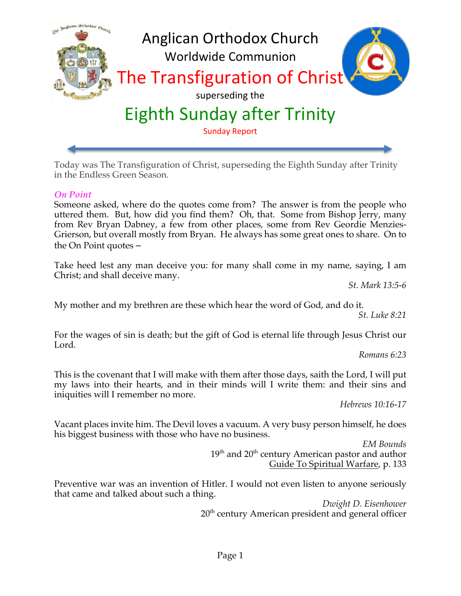

Today was The Transfiguration of Christ, superseding the Eighth Sunday after Trinity in the Endless Green Season.

## *On Point*

Someone asked, where do the quotes come from? The answer is from the people who uttered them. But, how did you find them? Oh, that. Some from Bishop Jerry, many from Rev Bryan Dabney, a few from other places, some from Rev Geordie Menzies-Grierson, but overall mostly from Bryan. He always has some great ones to share. On to the On Point quotes –

Take heed lest any man deceive you: for many shall come in my name, saying, I am Christ; and shall deceive many.

*St. Mark 13:5-6*

My mother and my brethren are these which hear the word of God, and do it.

*St. Luke 8:21*

For the wages of sin is death; but the gift of God is eternal life through Jesus Christ our Lord.

*Romans 6:23*

This is the covenant that I will make with them after those days, saith the Lord, I will put my laws into their hearts, and in their minds will I write them: and their sins and iniquities will I remember no more.

*Hebrews 10:16-17*

Vacant places invite him. The Devil loves a vacuum. A very busy person himself, he does his biggest business with those who have no business.

> *EM Bounds* 19<sup>th</sup> and 20<sup>th</sup> century American pastor and author Guide To Spiritual Warfare, p. 133

Preventive war was an invention of Hitler. I would not even listen to anyone seriously that came and talked about such a thing.

*Dwight D. Eisenhower* 20<sup>th</sup> century American president and general officer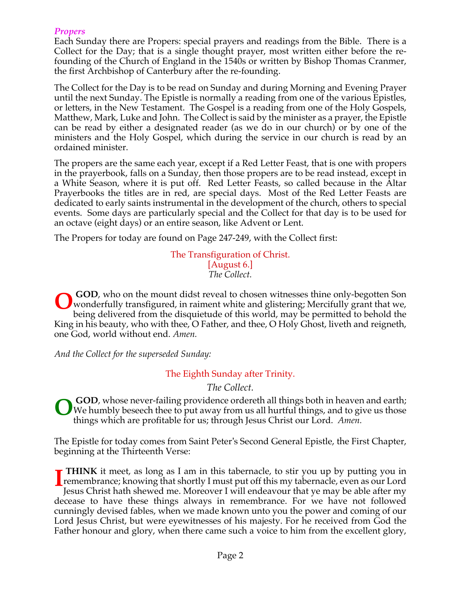#### *Propers*

Each Sunday there are Propers: special prayers and readings from the Bible. There is a Collect for the Day; that is a single thought prayer, most written either before the refounding of the Church of England in the 1540s or written by Bishop Thomas Cranmer, the first Archbishop of Canterbury after the re-founding.

The Collect for the Day is to be read on Sunday and during Morning and Evening Prayer until the next Sunday. The Epistle is normally a reading from one of the various Epistles, or letters, in the New Testament. The Gospel is a reading from one of the Holy Gospels, Matthew, Mark, Luke and John. The Collect is said by the minister as a prayer, the Epistle can be read by either a designated reader (as we do in our church) or by one of the ministers and the Holy Gospel, which during the service in our church is read by an ordained minister.

The propers are the same each year, except if a Red Letter Feast, that is one with propers in the prayerbook, falls on a Sunday, then those propers are to be read instead, except in a White Season, where it is put off. Red Letter Feasts, so called because in the Altar Prayerbooks the titles are in red, are special days. Most of the Red Letter Feasts are dedicated to early saints instrumental in the development of the church, others to special events. Some days are particularly special and the Collect for that day is to be used for an octave (eight days) or an entire season, like Advent or Lent.

The Propers for today are found on Page 247-249, with the Collect first:

The Transfiguration of Christ. [August 6.] *The Collect.*

**GOD**, who on the mount didst reveal to chosen witnesses thine only-begotten Son wonderfully transfigured, in raiment white and glistering; Mercifully grant that we, being delivered from the disquietude of this world, may be permitted to behold the King in his beauty, who with thee, O Father, and thee, O Holy Ghost, liveth and reigneth, one God, world without end. *Amen.* **O**

*And the Collect for the superseded Sunday:*

The Eighth Sunday after Trinity.

*The Collect.*

**GOD**, whose never-failing providence ordereth all things both in heaven and earth; We humbly beseech thee to put away from us all hurtful things, and to give us those things which are profitable for us; through Jesus Christ our Lord. *Amen.* **O**

The Epistle for today comes from Saint Peter's Second General Epistle, the First Chapter, beginning at the Thirteenth Verse:

**THINK** it meet, as long as I am in this tabernacle, to stir you up by putting you in **THINK** it meet, as long as 1 am in this tabernacle, to stir you up by putting you in<br>remembrance; knowing that shortly I must put off this my tabernacle, even as our Lord<br>lesus Christ hath showed me Moreover Lwill endeavo Jesus Christ hath shewed me. Moreover I will endeavour that ye may be able after my decease to have these things always in remembrance. For we have not followed cunningly devised fables, when we made known unto you the power and coming of our Lord Jesus Christ, but were eyewitnesses of his majesty. For he received from God the Father honour and glory, when there came such a voice to him from the excellent glory,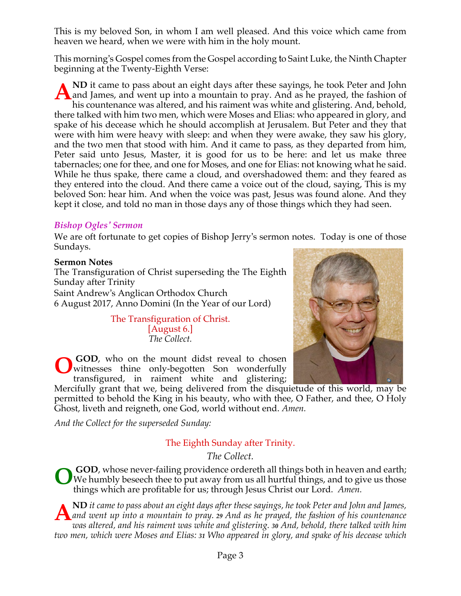This is my beloved Son, in whom I am well pleased. And this voice which came from heaven we heard, when we were with him in the holy mount.

This morning's Gospel comes from the Gospel according to Saint Luke, the Ninth Chapter beginning at the Twenty-Eighth Verse:

**ND** it came to pass about an eight days after these sayings, he took Peter and John All it came to pass about an eight days after these sayings, he took Peter and John<br>and James, and went up into a mountain to pray. And as he prayed, the fashion of<br>his countenance was altered, and his raiment was white an his countenance was altered, and his raiment was white and glistering. And, behold, there talked with him two men, which were Moses and Elias: who appeared in glory, and spake of his decease which he should accomplish at Jerusalem. But Peter and they that were with him were heavy with sleep: and when they were awake, they saw his glory, and the two men that stood with him. And it came to pass, as they departed from him, Peter said unto Jesus, Master, it is good for us to be here: and let us make three tabernacles; one for thee, and one for Moses, and one for Elias: not knowing what he said. While he thus spake, there came a cloud, and overshadowed them: and they feared as they entered into the cloud. And there came a voice out of the cloud, saying, This is my beloved Son: hear him. And when the voice was past, Jesus was found alone. And they kept it close, and told no man in those days any of those things which they had seen.

## *Bishop Ogles' Sermon*

We are oft fortunate to get copies of Bishop Jerry's sermon notes. Today is one of those Sundays.

#### **Sermon Notes**

The Transfiguration of Christ superseding the The Eighth Sunday after Trinity Saint Andrew's Anglican Orthodox Church 6 August 2017, Anno Domini (In the Year of our Lord)

> The Transfiguration of Christ. [August 6.] *The Collect.*

**GOD**, who on the mount didst reveal to chosen witnesses thine only-begotten Son wonderfully transfigured, in raiment white and glistering; **O**

Mercifully grant that we, being delivered from the disquietude of this world, may be permitted to behold the King in his beauty, who with thee, O Father, and thee, O Holy Ghost, liveth and reigneth, one God, world without end. *Amen.*

*And the Collect for the superseded Sunday:*

## The Eighth Sunday after Trinity.

*The Collect.*

**GOD**, whose never-failing providence ordereth all things both in heaven and earth; We humbly beseech thee to put away from us all hurtful things, and to give us those things which are profitable for us; through Jesus Christ our Lord. *Amen.* **O**

**ND** it came to pass about an eight days after these sayings, he took Peter and John and James, *and went up into a mountain to pray. 29 And as he prayed, the fashion of his countenance was altered, and his raiment was white and glistering. 30 And, behold, there talked with him two men, which were Moses and Elias: 31 Who appeared in glory, and spake of his decease which* **A**

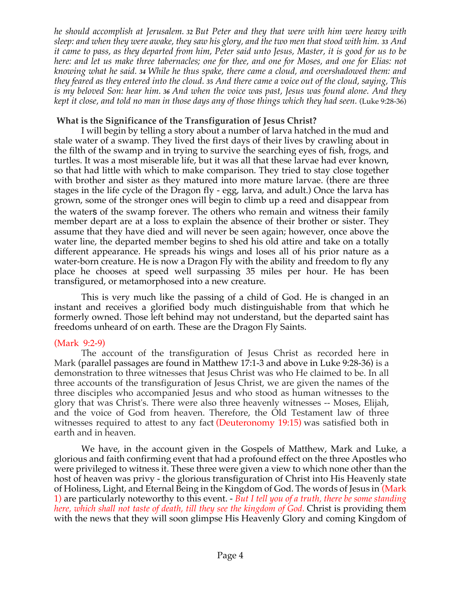*he should accomplish at Jerusalem. <sup>32</sup> But Peter and they that were with him were heavy with* sleep: and when they were awake, they saw his glory, and the two men that stood with him. 33 And it came to pass, as they departed from him, Peter said unto Jesus, Master, it is good for us to be here: and let us make three tabernacles; one for thee, and one for Moses, and one for Elias: not *knowing what he said. <sup>34</sup> While he thus spake, there came a cloud, and overshadowed them: and* they feared as they entered into the cloud. 35 And there came a voice out of the cloud, saying, This is my beloved Son: hear him. 36 And when the voice was past, Jesus was found alone. And they kept it close, and told no man in those days any of those things which they had seen. (Luke 9:28-36)

#### **What is the Significance of the Transfiguration of Jesus Christ?**

I will begin by telling a story about a number of larva hatched in the mud and stale water of a swamp. They lived the first days of their lives by crawling about in the filth of the swamp and in trying to survive the searching eyes of fish, frogs, and turtles. It was a most miserable life, but it was all that these larvae had ever known, so that had little with which to make comparison. They tried to stay close together with brother and sister as they matured into more mature larvae. (there are three stages in the life cycle of the Dragon fly - egg, larva, and adult.) Once the larva has grown, some of the stronger ones will begin to climb up a reed and disappear from the waters of the swamp forever. The others who remain and witness their family member depart are at a loss to explain the absence of their brother or sister. They assume that they have died and will never be seen again; however, once above the water line, the departed member begins to shed his old attire and take on a totally different appearance. He spreads his wings and loses all of his prior nature as a water-born creature. He is now a Dragon Fly with the ability and freedom to fly any place he chooses at speed well surpassing 35 miles per hour. He has been transfigured, or metamorphosed into a new creature.

This is very much like the passing of a child of God. He is changed in an instant and receives a glorified body much distinguishable from that which he formerly owned. Those left behind may not understand, but the departed saint has freedoms unheard of on earth. These are the Dragon Fly Saints.

## (Mark 9:2-9)

The account of the transfiguration of Jesus Christ as recorded here in Mark (parallel passages are found in Matthew 17:1-3 and above in Luke 9:28-36) is a demonstration to three witnesses that Jesus Christ was who He claimed to be. In all three accounts of the transfiguration of Jesus Christ, we are given the names of the three disciples who accompanied Jesus and who stood as human witnesses to the glory that was Christ's. There were also three heavenly witnesses -- Moses, Elijah, and the voice of God from heaven. Therefore, the Old Testament law of three witnesses required to attest to any fact (Deuteronomy 19:15) was satisfied both in earth and in heaven.

We have, in the account given in the Gospels of Matthew, Mark and Luke, a glorious and faith confirming event that had a profound effect on the three Apostles who were privileged to witness it. These three were given a view to which none other than the host of heaven was privy - the glorious transfiguration of Christ into His Heavenly state of Holiness, Light, and Eternal Being in the Kingdom of God. The words of Jesus in (Mark 1) are particularly noteworthy to this event. - *But I tell you of a truth, there be some standing here, which shall not taste of death, till they see the kingdom of God.* Christ is providing them with the news that they will soon glimpse His Heavenly Glory and coming Kingdom of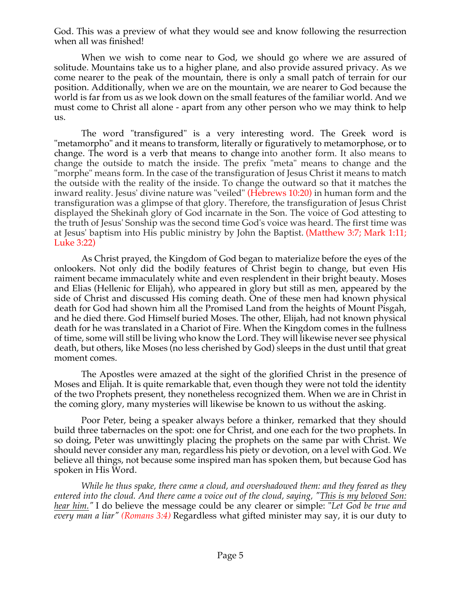God. This was a preview of what they would see and know following the resurrection when all was finished!

When we wish to come near to God, we should go where we are assured of solitude. Mountains take us to a higher plane, and also provide assured privacy. As we come nearer to the peak of the mountain, there is only a small patch of terrain for our position. Additionally, when we are on the mountain, we are nearer to God because the world is far from us as we look down on the small features of the familiar world. And we must come to Christ all alone - apart from any other person who we may think to help us.

The word "transfigured" is a very interesting word. The Greek word is "metamorpho" and it means to transform, literally or figuratively to metamorphose, or to change. The word is a verb that means to change into another form. It also means to change the outside to match the inside. The prefix "meta" means to change and the "morphe" means form. In the case of the transfiguration of Jesus Christ it means to match the outside with the reality of the inside. To change the outward so that it matches the inward reality. Jesus' divine nature was "veiled" (Hebrews 10:20) in human form and the transfiguration was a glimpse of that glory. Therefore, the transfiguration of Jesus Christ displayed the Shekinah glory of God incarnate in the Son. The voice of God attesting to the truth of Jesus' Sonship was the second time God's voice was heard. The first time was at Jesus' baptism into His public ministry by John the Baptist. (Matthew 3:7; Mark 1:11; Luke 3:22)

As Christ prayed, the Kingdom of God began to materialize before the eyes of the onlookers. Not only did the bodily features of Christ begin to change, but even His raiment became immaculately white and even resplendent in their bright beauty. Moses and Elias (Hellenic for Elijah), who appeared in glory but still as men, appeared by the side of Christ and discussed His coming death. One of these men had known physical death for God had shown him all the Promised Land from the heights of Mount Pisgah, and he died there. God Himself buried Moses. The other, Elijah, had not known physical death for he was translated in a Chariot of Fire. When the Kingdom comes in the fullness of time, some will still be living who know the Lord. They will likewise never see physical death, but others, like Moses (no less cherished by God) sleeps in the dust until that great moment comes.

The Apostles were amazed at the sight of the glorified Christ in the presence of Moses and Elijah. It is quite remarkable that, even though they were not told the identity of the two Prophets present, they nonetheless recognized them. When we are in Christ in the coming glory, many mysteries will likewise be known to us without the asking.

Poor Peter, being a speaker always before a thinker, remarked that they should build three tabernacles on the spot: one for Christ, and one each for the two prophets. In so doing, Peter was unwittingly placing the prophets on the same par with Christ. We should never consider any man, regardless his piety or devotion, on a level with God. We believe all things, not because some inspired man has spoken them, but because God has spoken in His Word.

*While he thus spake, there came a cloud, and overshadowed them: and they feared as they* entered into the cloud. And there came a voice out of the cloud, saying, "This is my beloved Son: *hear him."* I do believe the message could be any clearer or simple: "*Let God be true and every man a liar" (Romans 3:4)* Regardless what gifted minister may say, it is our duty to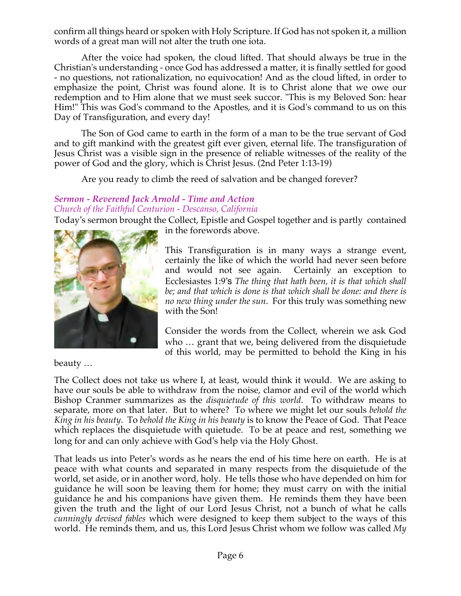confirm all things heard or spoken with Holy Scripture. If God has not spoken it, a million words of a great man will not alter the truth one iota.

After the voice had spoken, the cloud lifted. That should always be true in the Christian's understanding - once God has addressed a matter, it is finally settled for good - no questions, not rationalization, no equivocation! And as the cloud lifted, in order to emphasize the point, Christ was found alone. It is to Christ alone that we owe our redemption and to Him alone that we must seek succor. "This is my Beloved Son: hear Him!" This was God's command to the Apostles, and it is God's command to us on this Day of Transfiguration, and every day!

The Son of God came to earth in the form of a man to be the true servant of God and to gift mankind with the greatest gift ever given, eternal life. The transfiguration of Jesus Christ was a visible sign in the presence of reliable witnesses of the reality of the power of God and the glory, which is Christ Jesus. (2nd Peter 1:13-19)

Are you ready to climb the reed of salvation and be changed forever?

# *Sermon - Reverend Jack Arnold - Time and Action Church of the Faithful Centurion - Descanso, California*

Today's sermon brought the Collect, Epistle and Gospel together and is partly contained in the forewords above.



Consider the words from the Collect, wherein we ask God who … grant that we, being delivered from the disquietude of this world, may be permitted to behold the King in his

beauty …

The Collect does not take us where I, at least, would think it would. We are asking to have our souls be able to withdraw from the noise, clamor and evil of the world which Bishop Cranmer summarizes as the *disquietude of this world*. To withdraw means to separate, more on that later. But to where? To where we might let our souls *behold the King in his beauty*. To *behold the King in his beauty* is to know the Peace of God. That Peace which replaces the disquietude with quietude. To be at peace and rest, something we long for and can only achieve with God's help via the Holy Ghost.

That leads us into Peter's words as he nears the end of his time here on earth. He is at peace with what counts and separated in many respects from the disquietude of the world, set aside, or in another word, holy. He tells those who have depended on him for guidance he will soon be leaving them for home; they must carry on with the initial guidance he and his companions have given them. He reminds them they have been given the truth and the light of our Lord Jesus Christ, not a bunch of what he calls *cunningly devised fables* which were designed to keep them subject to the ways of this world. He reminds them, and us, this Lord Jesus Christ whom we follow was called *My*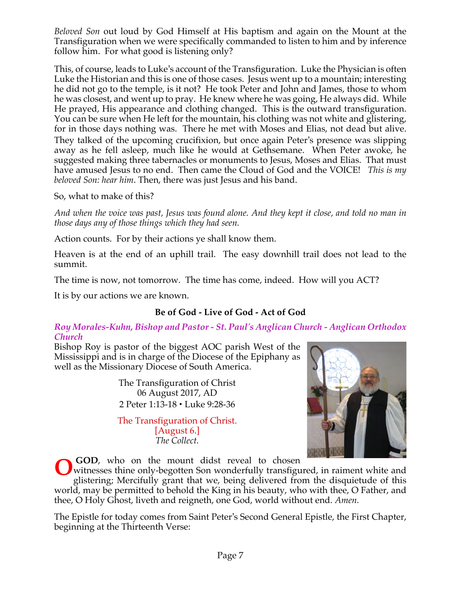*Beloved Son* out loud by God Himself at His baptism and again on the Mount at the Transfiguration when we were specifically commanded to listen to him and by inference follow him. For what good is listening only?

This, of course, leads to Luke's account of the Transfiguration. Luke the Physician is often Luke the Historian and this is one of those cases. Jesus went up to a mountain; interesting he did not go to the temple, is it not? He took Peter and John and James, those to whom he was closest, and went up to pray. He knew where he was going, He always did. While He prayed, His appearance and clothing changed. This is the outward transfiguration. You can be sure when He left for the mountain, his clothing was not white and glistering, for in those days nothing was. There he met with Moses and Elias, not dead but alive. They talked of the upcoming crucifixion, but once again Peter's presence was slipping away as he fell asleep, much like he would at Gethsemane. When Peter awoke, he suggested making three tabernacles or monuments to Jesus, Moses and Elias. That must have amused Jesus to no end. Then came the Cloud of God and the VOICE! *This is my beloved Son: hear him*. Then, there was just Jesus and his band.

So, what to make of this?

And when the voice was past, Jesus was found alone. And they kept it close, and told no man in *those days any of those things which they had seen.*

Action counts. For by their actions ye shall know them.

Heaven is at the end of an uphill trail. The easy downhill trail does not lead to the summit.

The time is now, not tomorrow. The time has come, indeed. How will you ACT?

It is by our actions we are known.

# **Be of God - Live of God - Act of God**

*Roy Morales-Kuhn, Bishop and Pastor - St. Paul's Anglican Church - Anglican Orthodox Church*

Bishop Roy is pastor of the biggest AOC parish West of the Mississippi and is in charge of the Diocese of the Epiphany as well as the Missionary Diocese of South America.

> The Transfiguration of Christ 06 August 2017, AD 2 Peter 1:13-18 • Luke 9:28-36

> The Transfiguration of Christ. [August 6.] *The Collect.*



**GOD**, who on the mount didst reveal to chosen witnesses thine only-begotten Son wonderfully transfigured, in raiment white and glistering; Mercifully grant that we, being delivered from the disquietude of this world, may be permitted to behold the King in his beauty, who with thee, O Father, and **O**

thee, O Holy Ghost, liveth and reigneth, one God, world without end. *Amen.*

The Epistle for today comes from Saint Peter's Second General Epistle, the First Chapter, beginning at the Thirteenth Verse: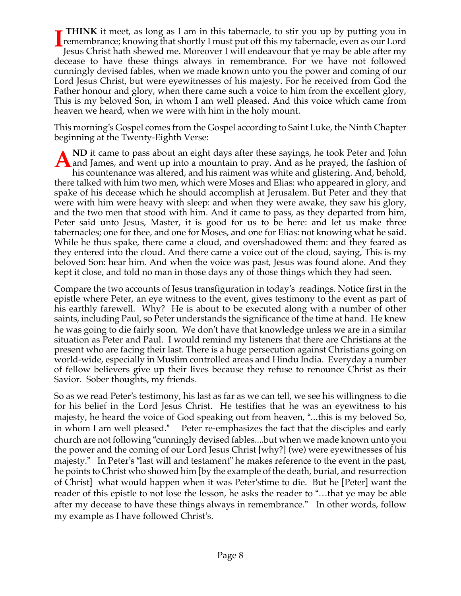**THINK** it meet, as long as I am in this tabernacle, to stir you up by putting you in **THINK** it meet, as long as 1 am in this tabernacle, to stir you up by putting you in<br>remembrance; knowing that shortly I must put off this my tabernacle, even as our Lord<br>lesus Christ hath showed me Moreover Lwill endeavo Jesus Christ hath shewed me. Moreover I will endeavour that ye may be able after my decease to have these things always in remembrance. For we have not followed cunningly devised fables, when we made known unto you the power and coming of our Lord Jesus Christ, but were eyewitnesses of his majesty. For he received from God the Father honour and glory, when there came such a voice to him from the excellent glory, This is my beloved Son, in whom I am well pleased. And this voice which came from heaven we heard, when we were with him in the holy mount.

This morning's Gospel comes from the Gospel according to Saint Luke, the Ninth Chapter beginning at the Twenty-Eighth Verse:

**ND** it came to pass about an eight days after these sayings, he took Peter and John A ND it came to pass about an eight days after these sayings, he took Peter and John<br>and James, and went up into a mountain to pray. And as he prayed, the fashion of<br>his countenance was altered, and his raiment was white a his countenance was altered, and his raiment was white and glistering. And, behold, there talked with him two men, which were Moses and Elias: who appeared in glory, and spake of his decease which he should accomplish at Jerusalem. But Peter and they that were with him were heavy with sleep: and when they were awake, they saw his glory, and the two men that stood with him. And it came to pass, as they departed from him, Peter said unto Jesus, Master, it is good for us to be here: and let us make three tabernacles; one for thee, and one for Moses, and one for Elias: not knowing what he said. While he thus spake, there came a cloud, and overshadowed them: and they feared as they entered into the cloud. And there came a voice out of the cloud, saying, This is my beloved Son: hear him. And when the voice was past, Jesus was found alone. And they kept it close, and told no man in those days any of those things which they had seen.

Compare the two accounts of Jesus transfiguration in today's readings. Notice first in the epistle where Peter, an eye witness to the event, gives testimony to the event as part of his earthly farewell. Why? He is about to be executed along with a number of other saints, including Paul, so Peter understands the significance of the time at hand. He knew he was going to die fairly soon. We don't have that knowledge unless we are in a similar situation as Peter and Paul. I would remind my listeners that there are Christians at the present who are facing their last. There is a huge persecution against Christians going on world-wide, especially in Muslim controlled areas and Hindu India. Everyday a number of fellow believers give up their lives because they refuse to renounce Christ as their Savior. Sober thoughts, my friends.

So as we read Peter's testimony, his last as far as we can tell, we see his willingness to die for his belief in the Lord Jesus Christ. He testifies that he was an eyewitness to his majesty, he heard the voice of God speaking out from heaven, "...this is my beloved So, in whom I am well pleased." Peter re-emphasizes the fact that the disciples and early church are not following "cunningly devised fables....but when we made known unto you the power and the coming of our Lord Jesus Christ [why?] (we) were eyewitnesses of his majesty." In Peter's "last will and testament" he makes reference to the event in the past, he points to Christ who showed him [by the example of the death, burial, and resurrection of Christ] what would happen when it was Peter'stime to die. But he [Peter] want the reader of this epistle to not lose the lesson, he asks the reader to "…that ye may be able after my decease to have these things always in remembrance." In other words, follow my example as I have followed Christ's.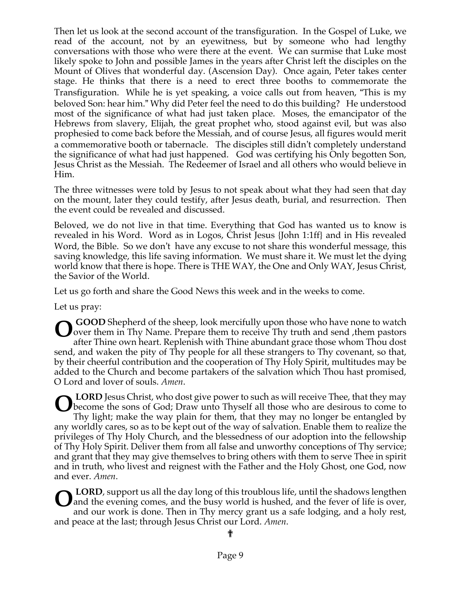Then let us look at the second account of the transfiguration. In the Gospel of Luke, we read of the account, not by an eyewitness, but by someone who had lengthy conversations with those who were there at the event. We can surmise that Luke most likely spoke to John and possible James in the years after Christ left the disciples on the Mount of Olives that wonderful day. (Ascension Day). Once again, Peter takes center stage. He thinks that there is a need to erect three booths to commemorate the Transfiguration. While he is yet speaking, a voice calls out from heaven, "This is my beloved Son: hear him." Why did Peter feel the need to do this building? He understood most of the significance of what had just taken place. Moses, the emancipator of the Hebrews from slavery, Elijah, the great prophet who, stood against evil, but was also prophesied to come back before the Messiah, and of course Jesus, all figures would merit a commemorative booth or tabernacle. The disciples still didn't completely understand the significance of what had just happened. God was certifying his Only begotten Son, Jesus Christ as the Messiah. The Redeemer of Israel and all others who would believe in Him.

The three witnesses were told by Jesus to not speak about what they had seen that day on the mount, later they could testify, after Jesus death, burial, and resurrection. Then the event could be revealed and discussed.

Beloved, we do not live in that time. Everything that God has wanted us to know is revealed in his Word. Word as in Logos, Christ Jesus {John 1:1ff} and in His revealed Word, the Bible. So we don't have any excuse to not share this wonderful message, this saving knowledge, this life saving information. We must share it. We must let the dying world know that there is hope. There is THE WAY, the One and Only WAY, Jesus Christ, the Savior of the World.

Let us go forth and share the Good News this week and in the weeks to come.

Let us pray:

**GOOD** Shepherd of the sheep, look mercifully upon those who have none to watch over them in Thy Name. Prepare them to receive Thy truth and send, them pastors after Thine own heart. Replenish with Thine abundant grace those whom Thou dost send, and waken the pity of Thy people for all these strangers to Thy covenant, so that, by their cheerful contribution and the cooperation of Thy Holy Spirit, multitudes may be added to the Church and become partakers of the salvation which Thou hast promised, O Lord and lover of souls. *Amen*. **O**

**LORD** Jesus Christ, who dost give power to such as will receive Thee, that they may **CORD** Jesus Christ, who dost give power to such as will receive Thee, that they may become the sons of God; Draw unto Thyself all those who are desirous to come to Thy light; make the way plain for them, that they may no Thy light; make the way plain for them, that they may no longer be entangled by any worldly cares, so as to be kept out of the way of salvation. Enable them to realize the privileges of Thy Holy Church, and the blessedness of our adoption into the fellowship of Thy Holy Spirit. Deliver them from all false and unworthy conceptions of Thy service; and grant that they may give themselves to bring others with them to serve Thee in spirit and in truth, who livest and reignest with the Father and the Holy Ghost, one God, now and ever. *Amen*.

**LORD**, support us all the day long of this troublous life, until the shadows lengthen and the evening comes, and the busy world is hushed, and the fever of life is over, and our work is done. Then in Thy mercy grant us a safe lodging, and a holy rest, and peace at the last; through Jesus Christ our Lord. *Amen*. **O**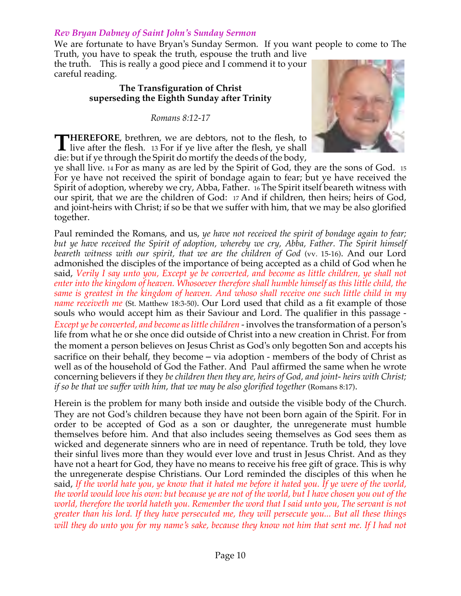#### *Rev Bryan Dabney of Saint John's Sunday Sermon*

We are fortunate to have Bryan's Sunday Sermon. If you want people to come to The Truth, you have to speak the truth, espouse the truth and live

the truth. This is really a good piece and I commend it to your careful reading.

#### **The Transfiguration of Christ superseding the Eighth Sunday after Trinity**

*Romans 8:12-17*

**HEREFORE**, brethren, we are debtors, not to the flesh, to **THEREFORE**, brethren, we are debtors, not to the flesh, to live after the flesh. 13 For if ye live after the flesh, ye shall die: but if ye through the Spirit do mortify the deeds of the body,



ye shall live. <sup>14</sup> For as many as are led by the Spirit of God, they are the sons of God. 15 For ye have not received the spirit of bondage again to fear; but ye have received the Spirit of adoption, whereby we cry, Abba, Father. 16The Spirit itself beareth witness with our spirit, that we are the children of God: 17 And if children, then heirs; heirs of God, and joint-heirs with Christ; if so be that we suffer with him, that we may be also glorified together.

Paul reminded the Romans, and us, *ye have not received the spirit of bondage again to fear; but ye have received the Spirit of adoption, whereby we cry, Abba, Father. The Spirit himself beareth witness with our spirit, that we are the children of God* (vv. 15-16). And our Lord admonished the disciples of the importance of being accepted as a child of God when he said, *Verily I say unto you, Except ye be converted, and become as little children, ye shall not enter into the kingdom of heaven. Whosoever therefore shall humble himself as this little child, the same is greatest in the kingdom of heaven. And whoso shall receive one such little child in my name receiveth me* (St. Matthew 18:3-50). Our Lord used that child as a fit example of those souls who would accept him as their Saviour and Lord. The qualifier in this passage - *Except ye be converted, and become aslittle children* - involves the transformation of a person's life from what he or she once did outside of Christ into a new creation in Christ. For from the moment a person believes on Jesus Christ as God's only begotten Son and accepts his sacrifice on their behalf, they become – via adoption - members of the body of Christ as well as of the household of God the Father. And Paul affirmed the same when he wrote concerning believers if they *be children then they are, heirs of God, and joint- heirs with Christ; if so be that we suffer with him, that we may be also glorified together* (Romans 8:17).

Herein is the problem for many both inside and outside the visible body of the Church. They are not God's children because they have not been born again of the Spirit. For in order to be accepted of God as a son or daughter, the unregenerate must humble themselves before him. And that also includes seeing themselves as God sees them as wicked and degenerate sinners who are in need of repentance. Truth be told, they love their sinful lives more than they would ever love and trust in Jesus Christ. And as they have not a heart for God, they have no means to receive his free gift of grace. This is why the unregenerate despise Christians. Our Lord reminded the disciples of this when he said, If the world hate you, ye know that it hated me before it hated you. If ye were of the world, the world would love his own: but because ye are not of the world, but I have chosen you out of the *world, therefore the world hateth you. Remember the word that I said unto you, The servant is not greater than his lord. If they have persecuted me, they will persecute you... But all these things* will they do unto you for my name's sake, because they know not him that sent me. If I had not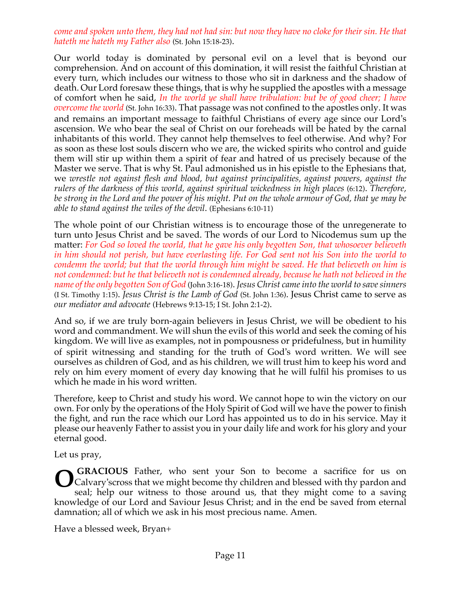#### come and spoken unto them, they had not had sin: but now they have no cloke for their sin. He that *hateth me hateth my Father also* (St. John 15:18-23).

Our world today is dominated by personal evil on a level that is beyond our comprehension. And on account of this domination, it will resist the faithful Christian at every turn, which includes our witness to those who sit in darkness and the shadow of death. Our Lord foresaw these things, that is why he supplied the apostles with a message of comfort when he said, *In the world ye shall have tribulation: but be of good cheer; I have overcome the world* (St. John 16:33). That passage was not confined to the apostles only. It was and remains an important message to faithful Christians of every age since our Lord's ascension. We who bear the seal of Christ on our foreheads will be hated by the carnal inhabitants of this world. They cannot help themselves to feel otherwise. And why? For as soon as these lost souls discern who we are, the wicked spirits who control and guide them will stir up within them a spirit of fear and hatred of us precisely because of the Master we serve. That is why St. Paul admonished us in his epistle to the Ephesians that, we *wrestle not against flesh and blood, but against principalities, against powers, against the rulers of the darkness of this world, against spiritual wickedness in high places* (6:12). *Therefore,* be strong in the Lord and the power of his might. Put on the whole armour of God, that ye may be *able to stand against the wiles of the devil*. (Ephesians 6:10-11)

The whole point of our Christian witness is to encourage those of the unregenerate to turn unto Jesus Christ and be saved. The words of our Lord to Nicodemus sum up the matter: *For God so loved the world, that he gave his only begotten Son, that whosoever believeth* in him should not perish, but have everlasting life. For God sent not his Son into the world to *condemn the world; but that the world through him might be saved. He that believeth on him is not condemned: but he that believeth not is condemned already, because he hath not believed in the name of the only begotten Son of God* (John 3:16-18). *Jesus Christ cameinto the world to savesinners* (I St. Timothy 1:15). *Jesus Christ is the Lamb of God* (St. John 1:36). Jesus Christ came to serve as *our mediator and advocate* (Hebrews 9:13-15; I St. John 2:1-2).

And so, if we are truly born-again believers in Jesus Christ, we will be obedient to his word and commandment. We will shun the evils of this world and seek the coming of his kingdom. We will live as examples, not in pompousness or pridefulness, but in humility of spirit witnessing and standing for the truth of God's word written. We will see ourselves as children of God, and as his children, we will trust him to keep his word and rely on him every moment of every day knowing that he will fulfil his promises to us which he made in his word written.

Therefore, keep to Christ and study his word. We cannot hope to win the victory on our own. For only by the operations of the Holy Spirit of God will we have the power to finish the fight, and run the race which our Lord has appointed us to do in his service. May it please our heavenly Father to assist you in your daily life and work for his glory and your eternal good.

Let us pray,

**GRACIOUS** Father, who sent your Son to become a sacrifice for us on Calvary'scross that we might become thy children and blessed with thy pardon and seal; help our witness to those around us, that they might come to a saving knowledge of our Lord and Saviour Jesus Christ; and in the end be saved from eternal damnation; all of which we ask in his most precious name. Amen. **O**

Have a blessed week, Bryan+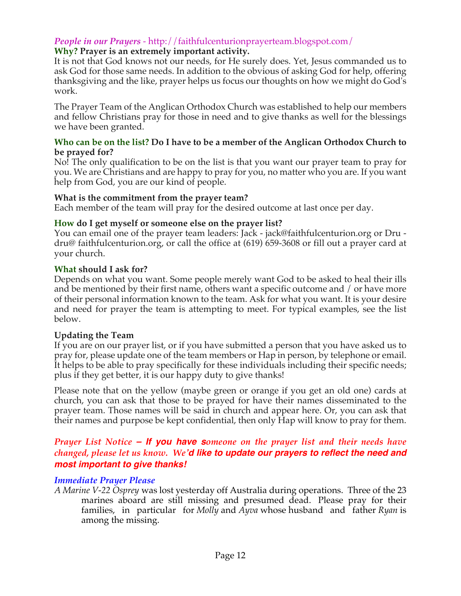## *People in our Prayers* - http://faithfulcenturionprayerteam.blogspot.com/

## **Why? Prayer is an extremely important activity.**

It is not that God knows not our needs, for He surely does. Yet, Jesus commanded us to ask God for those same needs. In addition to the obvious of asking God for help, offering thanksgiving and the like, prayer helps us focus our thoughts on how we might do God's work.

The Prayer Team of the Anglican Orthodox Church was established to help our members and fellow Christians pray for those in need and to give thanks as well for the blessings we have been granted.

#### **Who can be on the list? Do I have to be a member of the Anglican Orthodox Church to be prayed for?**

No! The only qualification to be on the list is that you want our prayer team to pray for you. We are Christians and are happy to pray for you, no matter who you are. If you want help from God, you are our kind of people.

#### **What is the commitment from the prayer team?**

Each member of the team will pray for the desired outcome at last once per day.

#### **How do I get myself or someone else on the prayer list?**

You can email one of the prayer team leaders: Jack - jack@faithfulcenturion.org or Dru dru@ faithfulcenturion.org, or call the office at (619) 659-3608 or fill out a prayer card at your church.

#### **What should I ask for?**

Depends on what you want. Some people merely want God to be asked to heal their ills and be mentioned by their first name, others want a specific outcome and / or have more of their personal information known to the team. Ask for what you want. It is your desire and need for prayer the team is attempting to meet. For typical examples, see the list below.

#### **Updating the Team**

If you are on our prayer list, or if you have submitted a person that you have asked us to pray for, please update one of the team members or Hap in person, by telephone or email. It helps to be able to pray specifically for these individuals including their specific needs; plus if they get better, it is our happy duty to give thanks!

Please note that on the yellow (maybe green or orange if you get an old one) cards at church, you can ask that those to be prayed for have their names disseminated to the prayer team. Those names will be said in church and appear here. Or, you can ask that their names and purpose be kept confidential, then only Hap will know to pray for them.

#### *Prayer List Notice – If you have someone on the prayer list and their needs have changed, please let us know. We'd like to update our prayers to reflect the need and most important to give thanks!*

#### *Immediate Prayer Please*

*A Marine V-22 Osprey* was lost yesterday off Australia during operations. Three of the 23 marines aboard are still missing and presumed dead. Please pray for their families, in particular for *Molly* and *Ayva* whose husband and father *Ryan* is among the missing.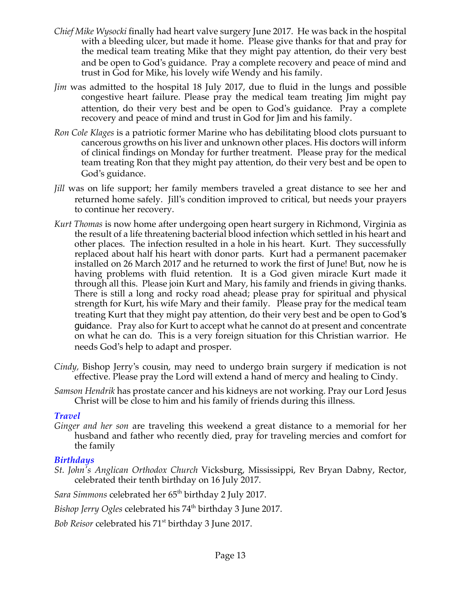- *Chief Mike Wysocki* finally had heart valve surgery June 2017. He was back in the hospital with a bleeding ulcer, but made it home. Please give thanks for that and pray for the medical team treating Mike that they might pay attention, do their very best and be open to God's guidance. Pray a complete recovery and peace of mind and trust in God for Mike, his lovely wife Wendy and his family.
- *Jim* was admitted to the hospital 18 July 2017, due to fluid in the lungs and possible congestive heart failure. Please pray the medical team treating Jim might pay attention, do their very best and be open to God's guidance. Pray a complete recovery and peace of mind and trust in God for Jim and his family.
- *Ron Cole Klages* is a patriotic former Marine who has debilitating blood clots pursuant to cancerous growths on his liver and unknown other places. His doctors will inform of clinical findings on Monday for further treatment. Please pray for the medical team treating Ron that they might pay attention, do their very best and be open to God's guidance.
- *Jill* was on life support; her family members traveled a great distance to see her and returned home safely. Jill's condition improved to critical, but needs your prayers to continue her recovery.
- *Kurt Thomas* is now home after undergoing open heart surgery in Richmond, Virginia as the result of a life threatening bacterial blood infection which settled in his heart and other places. The infection resulted in a hole in his heart. Kurt. They successfully replaced about half his heart with donor parts. Kurt had a permanent pacemaker installed on 26 March 2017 and he returned to work the first of June! But, now he is having problems with fluid retention. It is a God given miracle Kurt made it through all this. Please join Kurt and Mary, his family and friends in giving thanks. There is still a long and rocky road ahead; please pray for spiritual and physical strength for Kurt, his wife Mary and their family. Please pray for the medical team treating Kurt that they might pay attention, do their very best and be open to God's guidance. Pray also for Kurt to accept what he cannot do at present and concentrate on what he can do. This is a very foreign situation for this Christian warrior. He needs God's help to adapt and prosper.
- *Cindy,* Bishop Jerry's cousin, may need to undergo brain surgery if medication is not effective. Please pray the Lord will extend a hand of mercy and healing to Cindy.
- *Samson Hendrik* has prostate cancer and his kidneys are not working. Pray our Lord Jesus Christ will be close to him and his family of friends during this illness.

#### *Travel*

*Ginger and her son* are traveling this weekend a great distance to a memorial for her husband and father who recently died, pray for traveling mercies and comfort for the family

## *Birthdays*

*St. John's Anglican Orthodox Church* Vicksburg, Mississippi, Rev Bryan Dabny, Rector, celebrated their tenth birthday on 16 July 2017.

Sara Simmons celebrated her 65<sup>th</sup> birthday 2 July 2017.

*Bishop Jerry Ogles* celebrated his 74<sup>th</sup> birthday 3 June 2017.

*Bob Reisor* celebrated his 71<sup>st</sup> birthday 3 June 2017.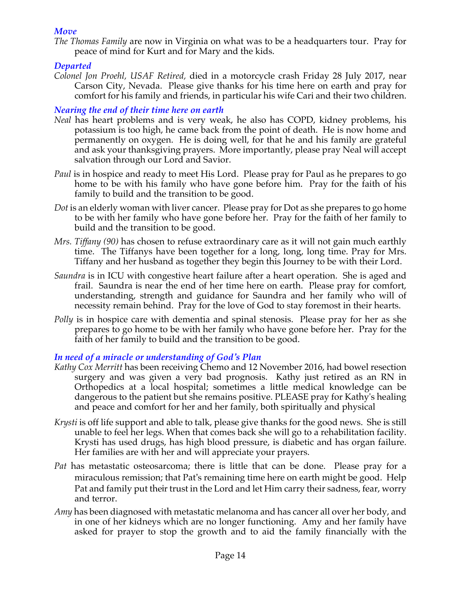#### *Move*

*The Thomas Family* are now in Virginia on what was to be a headquarters tour. Pray for peace of mind for Kurt and for Mary and the kids.

## *Departed*

*Colonel Jon Proehl, USAF Retired,* died in a motorcycle crash Friday 28 July 2017, near Carson City, Nevada. Please give thanks for his time here on earth and pray for comfort for his family and friends, in particular his wife Cari and their two children.

# *Nearing the end of their time here on earth*

- *Neal* has heart problems and is very weak, he also has COPD, kidney problems, his potassium is too high, he came back from the point of death. He is now home and permanently on oxygen. He is doing well, for that he and his family are grateful and ask your thanksgiving prayers. More importantly, please pray Neal will accept salvation through our Lord and Savior.
- *Paul* is in hospice and ready to meet His Lord. Please pray for Paul as he prepares to go home to be with his family who have gone before him. Pray for the faith of his family to build and the transition to be good.
- *Dot* is an elderly woman with liver cancer. Please pray for Dot as she prepares to go home to be with her family who have gone before her. Pray for the faith of her family to build and the transition to be good.
- *Mrs. Tiffany (90)* has chosen to refuse extraordinary care as it will not gain much earthly time. The Tiffanys have been together for a long, long, long time. Pray for Mrs. Tiffany and her husband as together they begin this Journey to be with their Lord.
- *Saundra* is in ICU with congestive heart failure after a heart operation. She is aged and frail. Saundra is near the end of her time here on earth. Please pray for comfort, understanding, strength and guidance for Saundra and her family who will of necessity remain behind. Pray for the love of God to stay foremost in their hearts.
- *Polly* is in hospice care with dementia and spinal stenosis. Please pray for her as she prepares to go home to be with her family who have gone before her. Pray for the faith of her family to build and the transition to be good.

## *In need of a miracle or understanding of God's Plan*

- *Kathy Cox Merritt* has been receiving Chemo and 12 November 2016, had bowel resection surgery and was given a very bad prognosis. Kathy just retired as an RN in Orthopedics at a local hospital; sometimes a little medical knowledge can be dangerous to the patient but she remains positive. PLEASE pray for Kathy's healing and peace and comfort for her and her family, both spiritually and physical
- *Krysti* is off life support and able to talk, please give thanks for the good news. She is still unable to feel her legs. When that comes back she will go to a rehabilitation facility. Krysti has used drugs, has high blood pressure, is diabetic and has organ failure. Her families are with her and will appreciate your prayers.
- *Pat* has metastatic osteosarcoma; there is little that can be done. Please pray for a miraculous remission; that Pat's remaining time here on earth might be good. Help Pat and family put their trust in the Lord and let Him carry their sadness, fear, worry and terror.
- *Amy* has been diagnosed with metastatic melanoma and has cancer all over her body, and in one of her kidneys which are no longer functioning. Amy and her family have asked for prayer to stop the growth and to aid the family financially with the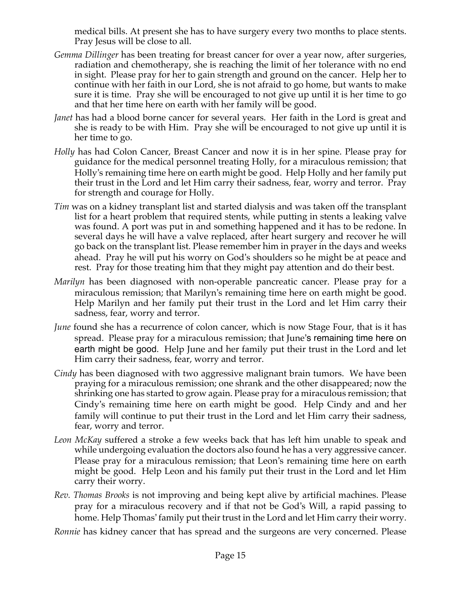medical bills. At present she has to have surgery every two months to place stents. Pray Jesus will be close to all.

- *Gemma Dillinger* has been treating for breast cancer for over a year now, after surgeries, radiation and chemotherapy, she is reaching the limit of her tolerance with no end in sight. Please pray for her to gain strength and ground on the cancer. Help her to continue with her faith in our Lord, she is not afraid to go home, but wants to make sure it is time. Pray she will be encouraged to not give up until it is her time to go and that her time here on earth with her family will be good.
- *Janet* has had a blood borne cancer for several years. Her faith in the Lord is great and she is ready to be with Him. Pray she will be encouraged to not give up until it is her time to go.
- *Holly* has had Colon Cancer, Breast Cancer and now it is in her spine. Please pray for guidance for the medical personnel treating Holly, for a miraculous remission; that Holly's remaining time here on earth might be good. Help Holly and her family put their trust in the Lord and let Him carry their sadness, fear, worry and terror. Pray for strength and courage for Holly.
- *Tim* was on a kidney transplant list and started dialysis and was taken off the transplant list for a heart problem that required stents, while putting in stents a leaking valve was found. A port was put in and something happened and it has to be redone. In several days he will have a valve replaced, after heart surgery and recover he will go back on the transplant list. Please remember him in prayer in the days and weeks ahead. Pray he will put his worry on God's shoulders so he might be at peace and rest. Pray for those treating him that they might pay attention and do their best.
- *Marilyn* has been diagnosed with non-operable pancreatic cancer. Please pray for a miraculous remission; that Marilyn's remaining time here on earth might be good. Help Marilyn and her family put their trust in the Lord and let Him carry their sadness, fear, worry and terror.
- *June* found she has a recurrence of colon cancer, which is now Stage Four, that is it has spread. Please pray for a miraculous remission; that June's remaining time here on earth might be good. Help June and her family put their trust in the Lord and let Him carry their sadness, fear, worry and terror.
- *Cindy* has been diagnosed with two aggressive malignant brain tumors. We have been praying for a miraculous remission; one shrank and the other disappeared; now the shrinking one has started to grow again. Please pray for a miraculous remission; that Cindy's remaining time here on earth might be good. Help Cindy and and her family will continue to put their trust in the Lord and let Him carry their sadness, fear, worry and terror.
- *Leon McKay* suffered a stroke a few weeks back that has left him unable to speak and while undergoing evaluation the doctors also found he has a very aggressive cancer. Please pray for a miraculous remission; that Leon's remaining time here on earth might be good. Help Leon and his family put their trust in the Lord and let Him carry their worry.
- *Rev. Thomas Brooks* is not improving and being kept alive by artificial machines. Please pray for a miraculous recovery and if that not be God's Will, a rapid passing to home. Help Thomas' family put their trust in the Lord and let Him carry their worry.

*Ronnie* has kidney cancer that has spread and the surgeons are very concerned. Please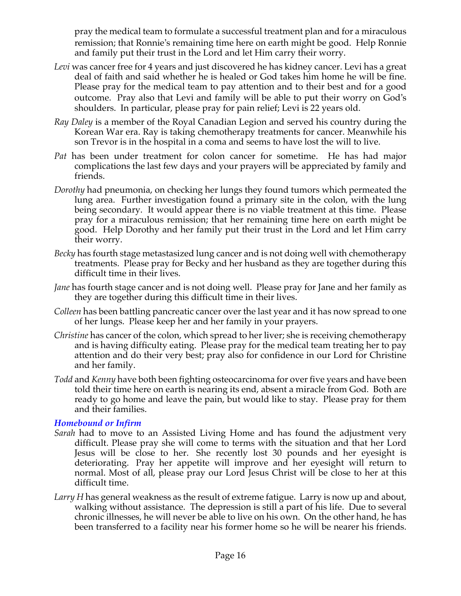pray the medical team to formulate a successful treatment plan and for a miraculous remission; that Ronnie's remaining time here on earth might be good. Help Ronnie and family put their trust in the Lord and let Him carry their worry.

- *Levi* was cancer free for 4 years and just discovered he has kidney cancer. Levi has a great deal of faith and said whether he is healed or God takes him home he will be fine. Please pray for the medical team to pay attention and to their best and for a good outcome. Pray also that Levi and family will be able to put their worry on God's shoulders. In particular, please pray for pain relief; Levi is 22 years old.
- *Ray Daley* is a member of the Royal Canadian Legion and served his country during the Korean War era. Ray is taking chemotherapy treatments for cancer. Meanwhile his son Trevor is in the hospital in a coma and seems to have lost the will to live.
- *Pat* has been under treatment for colon cancer for sometime. He has had major complications the last few days and your prayers will be appreciated by family and friends.
- *Dorothy* had pneumonia, on checking her lungs they found tumors which permeated the lung area. Further investigation found a primary site in the colon, with the lung being secondary. It would appear there is no viable treatment at this time. Please pray for a miraculous remission; that her remaining time here on earth might be good. Help Dorothy and her family put their trust in the Lord and let Him carry their worry.
- *Becky* has fourth stage metastasized lung cancer and is not doing well with chemotherapy treatments. Please pray for Becky and her husband as they are together during this difficult time in their lives.
- *Jane* has fourth stage cancer and is not doing well. Please pray for Jane and her family as they are together during this difficult time in their lives.
- *Colleen* has been battling pancreatic cancer over the last year and it has now spread to one of her lungs. Please keep her and her family in your prayers.
- *Christine* has cancer of the colon, which spread to her liver; she is receiving chemotherapy and is having difficulty eating. Please pray for the medical team treating her to pay attention and do their very best; pray also for confidence in our Lord for Christine and her family.
- *Todd* and *Kenny* have both been fighting osteocarcinoma for over five years and have been told their time here on earth is nearing its end, absent a miracle from God. Both are ready to go home and leave the pain, but would like to stay. Please pray for them and their families.

#### *Homebound or Infirm*

- *Sarah* had to move to an Assisted Living Home and has found the adjustment very difficult. Please pray she will come to terms with the situation and that her Lord Jesus will be close to her. She recently lost 30 pounds and her eyesight is deteriorating. Pray her appetite will improve and her eyesight will return to normal. Most of all, please pray our Lord Jesus Christ will be close to her at this difficult time.
- *Larry H* has general weakness as the result of extreme fatigue. Larry is now up and about, walking without assistance. The depression is still a part of his life. Due to several chronic illnesses, he will never be able to live on his own. On the other hand, he has been transferred to a facility near his former home so he will be nearer his friends.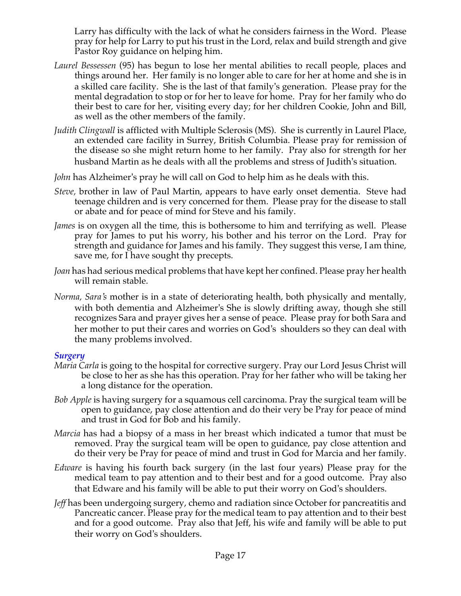Larry has difficulty with the lack of what he considers fairness in the Word. Please pray for help for Larry to put his trust in the Lord, relax and build strength and give Pastor Roy guidance on helping him.

- *Laurel Bessessen* (95) has begun to lose her mental abilities to recall people, places and things around her. Her family is no longer able to care for her at home and she is in a skilled care facility. She is the last of that family's generation. Please pray for the mental degradation to stop or for her to leave for home. Pray for her family who do their best to care for her, visiting every day; for her children Cookie, John and Bill, as well as the other members of the family.
- *Judith Clingwall* is afflicted with Multiple Sclerosis (MS). She is currently in Laurel Place, an extended care facility in Surrey, British Columbia. Please pray for remission of the disease so she might return home to her family. Pray also for strength for her husband Martin as he deals with all the problems and stress of Judith's situation.
- *John* has Alzheimer's pray he will call on God to help him as he deals with this.
- *Steve,* brother in law of Paul Martin, appears to have early onset dementia. Steve had teenage children and is very concerned for them. Please pray for the disease to stall or abate and for peace of mind for Steve and his family.
- *James* is on oxygen all the time, this is bothersome to him and terrifying as well. Please pray for James to put his worry, his bother and his terror on the Lord. Pray for strength and guidance for James and his family. They suggest this verse, I am thine, save me, for I have sought thy precepts.
- *Joan* has had serious medical problems that have kept her confined. Please pray her health will remain stable.
- *Norma, Sara's* mother is in a state of deteriorating health, both physically and mentally, with both dementia and Alzheimer's She is slowly drifting away, though she still recognizes Sara and prayer gives her a sense of peace. Please pray for both Sara and her mother to put their cares and worries on God's shoulders so they can deal with the many problems involved.

## *Surgery*

- *Maria Carla* is going to the hospital for corrective surgery. Pray our Lord Jesus Christ will be close to her as she has this operation. Pray for her father who will be taking her a long distance for the operation.
- *Bob Apple* is having surgery for a squamous cell carcinoma. Pray the surgical team will be open to guidance, pay close attention and do their very be Pray for peace of mind and trust in God for Bob and his family.
- *Marcia* has had a biopsy of a mass in her breast which indicated a tumor that must be removed. Pray the surgical team will be open to guidance, pay close attention and do their very be Pray for peace of mind and trust in God for Marcia and her family.
- *Edware* is having his fourth back surgery (in the last four years) Please pray for the medical team to pay attention and to their best and for a good outcome. Pray also that Edware and his family will be able to put their worry on God's shoulders.
- *Jeff* has been undergoing surgery, chemo and radiation since October for pancreatitis and Pancreatic cancer. Please pray for the medical team to pay attention and to their best and for a good outcome. Pray also that Jeff, his wife and family will be able to put their worry on God's shoulders.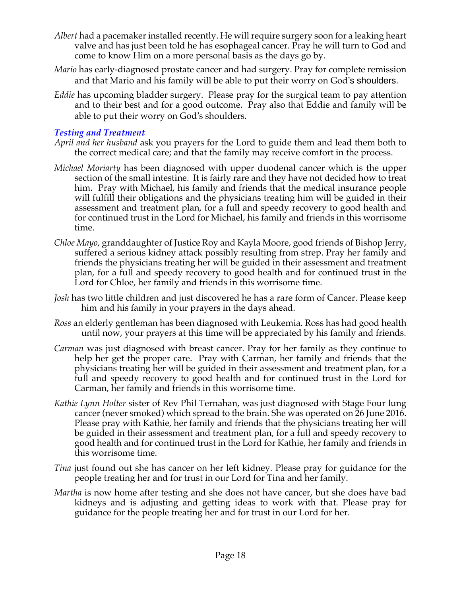- *Albert* had a pacemaker installed recently. He will require surgery soon for a leaking heart valve and has just been told he has esophageal cancer. Pray he will turn to God and come to know Him on a more personal basis as the days go by.
- *Mario* has early-diagnosed prostate cancer and had surgery. Pray for complete remission and that Mario and his family will be able to put their worry on God's shoulders.
- *Eddie* has upcoming bladder surgery. Please pray for the surgical team to pay attention and to their best and for a good outcome. Pray also that Eddie and family will be able to put their worry on God's shoulders.

## *Testing and Treatment*

- *April and her husband* ask you prayers for the Lord to guide them and lead them both to the correct medical care; and that the family may receive comfort in the process.
- *Michael Moriarty* has been diagnosed with upper duodenal cancer which is the upper section of the small intestine. It is fairly rare and they have not decided how to treat him. Pray with Michael, his family and friends that the medical insurance people will fulfill their obligations and the physicians treating him will be guided in their assessment and treatment plan, for a full and speedy recovery to good health and for continued trust in the Lord for Michael, his family and friends in this worrisome time.
- *Chloe Mayo*, granddaughter of Justice Roy and Kayla Moore, good friends of Bishop Jerry, suffered a serious kidney attack possibly resulting from strep. Pray her family and friends the physicians treating her will be guided in their assessment and treatment plan, for a full and speedy recovery to good health and for continued trust in the Lord for Chloe, her family and friends in this worrisome time.
- *Josh* has two little children and just discovered he has a rare form of Cancer. Please keep him and his family in your prayers in the days ahead.
- *Ross* an elderly gentleman has been diagnosed with Leukemia. Ross has had good health until now, your prayers at this time will be appreciated by his family and friends.
- *Carman* was just diagnosed with breast cancer. Pray for her family as they continue to help her get the proper care. Pray with Carman, her family and friends that the physicians treating her will be guided in their assessment and treatment plan, for a full and speedy recovery to good health and for continued trust in the Lord for Carman, her family and friends in this worrisome time.
- *Kathie Lynn Holter* sister of Rev Phil Ternahan, was just diagnosed with Stage Four lung cancer (never smoked) which spread to the brain. She was operated on 26 June 2016. Please pray with Kathie, her family and friends that the physicians treating her will be guided in their assessment and treatment plan, for a full and speedy recovery to good health and for continued trust in the Lord for Kathie, her family and friends in this worrisome time.
- *Tina* just found out she has cancer on her left kidney. Please pray for guidance for the people treating her and for trust in our Lord for Tina and her family.
- *Martha* is now home after testing and she does not have cancer, but she does have bad kidneys and is adjusting and getting ideas to work with that. Please pray for guidance for the people treating her and for trust in our Lord for her.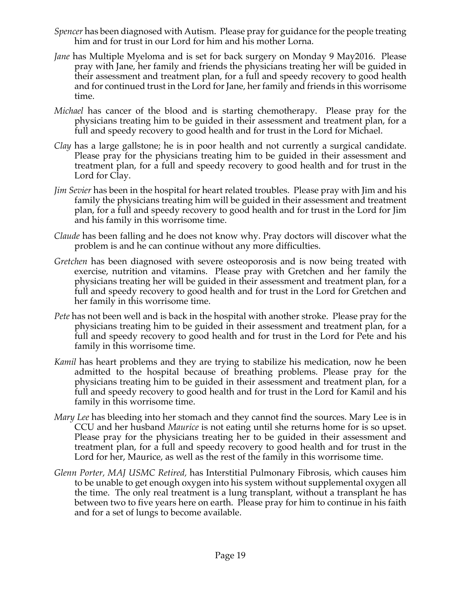- *Spencer* has been diagnosed with Autism. Please pray for guidance for the people treating him and for trust in our Lord for him and his mother Lorna.
- *Jane* has Multiple Myeloma and is set for back surgery on Monday 9 May2016. Please pray with Jane, her family and friends the physicians treating her will be guided in their assessment and treatment plan, for a full and speedy recovery to good health and for continued trust in the Lord for Jane, her family and friends in this worrisome time.
- *Michael* has cancer of the blood and is starting chemotherapy. Please pray for the physicians treating him to be guided in their assessment and treatment plan, for a full and speedy recovery to good health and for trust in the Lord for Michael.
- *Clay* has a large gallstone; he is in poor health and not currently a surgical candidate. Please pray for the physicians treating him to be guided in their assessment and treatment plan, for a full and speedy recovery to good health and for trust in the Lord for Clay.
- *Jim Sevier* has been in the hospital for heart related troubles. Please pray with Jim and his family the physicians treating him will be guided in their assessment and treatment plan, for a full and speedy recovery to good health and for trust in the Lord for Jim and his family in this worrisome time.
- *Claude* has been falling and he does not know why. Pray doctors will discover what the problem is and he can continue without any more difficulties.
- *Gretchen* has been diagnosed with severe osteoporosis and is now being treated with exercise, nutrition and vitamins. Please pray with Gretchen and her family the physicians treating her will be guided in their assessment and treatment plan, for a full and speedy recovery to good health and for trust in the Lord for Gretchen and her family in this worrisome time.
- *Pete* has not been well and is back in the hospital with another stroke. Please pray for the physicians treating him to be guided in their assessment and treatment plan, for a full and speedy recovery to good health and for trust in the Lord for Pete and his family in this worrisome time.
- *Kamil* has heart problems and they are trying to stabilize his medication, now he been admitted to the hospital because of breathing problems. Please pray for the physicians treating him to be guided in their assessment and treatment plan, for a full and speedy recovery to good health and for trust in the Lord for Kamil and his family in this worrisome time.
- *Mary Lee* has bleeding into her stomach and they cannot find the sources. Mary Lee is in CCU and her husband *Maurice* is not eating until she returns home for is so upset. Please pray for the physicians treating her to be guided in their assessment and treatment plan, for a full and speedy recovery to good health and for trust in the Lord for her, Maurice, as well as the rest of the family in this worrisome time.
- *Glenn Porter, MAJ USMC Retired,* has Interstitial Pulmonary Fibrosis, which causes him to be unable to get enough oxygen into his system without supplemental oxygen all the time. The only real treatment is a lung transplant, without a transplant he has between two to five years here on earth. Please pray for him to continue in his faith and for a set of lungs to become available.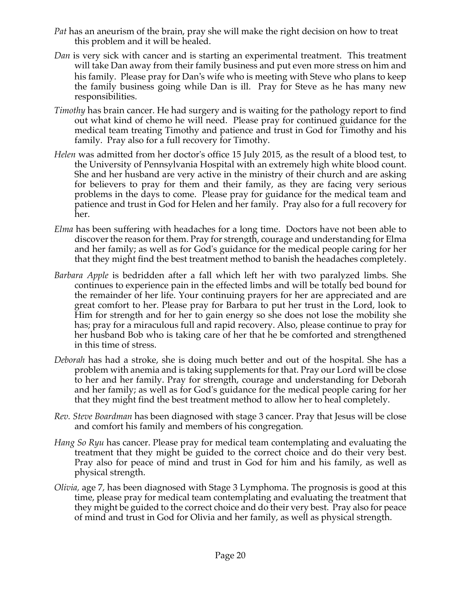- *Pat* has an aneurism of the brain, pray she will make the right decision on how to treat this problem and it will be healed.
- *Dan* is very sick with cancer and is starting an experimental treatment. This treatment will take Dan away from their family business and put even more stress on him and his family. Please pray for Dan's wife who is meeting with Steve who plans to keep the family business going while Dan is ill. Pray for Steve as he has many new responsibilities.
- *Timothy* has brain cancer. He had surgery and is waiting for the pathology report to find out what kind of chemo he will need. Please pray for continued guidance for the medical team treating Timothy and patience and trust in God for Timothy and his family. Pray also for a full recovery for Timothy.
- *Helen* was admitted from her doctor's office 15 July 2015, as the result of a blood test, to the University of Pennsylvania Hospital with an extremely high white blood count. She and her husband are very active in the ministry of their church and are asking for believers to pray for them and their family, as they are facing very serious problems in the days to come. Please pray for guidance for the medical team and patience and trust in God for Helen and her family. Pray also for a full recovery for her.
- *Elma* has been suffering with headaches for a long time. Doctors have not been able to discover the reason for them. Pray for strength, courage and understanding for Elma and her family; as well as for God's guidance for the medical people caring for her that they might find the best treatment method to banish the headaches completely.
- *Barbara Apple* is bedridden after a fall which left her with two paralyzed limbs. She continues to experience pain in the effected limbs and will be totally bed bound for the remainder of her life. Your continuing prayers for her are appreciated and are great comfort to her. Please pray for Barbara to put her trust in the Lord, look to Him for strength and for her to gain energy so she does not lose the mobility she has; pray for a miraculous full and rapid recovery. Also, please continue to pray for her husband Bob who is taking care of her that he be comforted and strengthened in this time of stress.
- *Deborah* has had a stroke, she is doing much better and out of the hospital. She has a problem with anemia and is taking supplements for that. Pray our Lord will be close to her and her family. Pray for strength, courage and understanding for Deborah and her family; as well as for God's guidance for the medical people caring for her that they might find the best treatment method to allow her to heal completely.
- *Rev. Steve Boardman* has been diagnosed with stage 3 cancer. Pray that Jesus will be close and comfort his family and members of his congregation*.*
- *Hang So Ryu* has cancer. Please pray for medical team contemplating and evaluating the treatment that they might be guided to the correct choice and do their very best. Pray also for peace of mind and trust in God for him and his family, as well as physical strength.
- *Olivia,* age 7, has been diagnosed with Stage 3 Lymphoma. The prognosis is good at this time, please pray for medical team contemplating and evaluating the treatment that they might be guided to the correct choice and do their very best. Pray also for peace of mind and trust in God for Olivia and her family, as well as physical strength.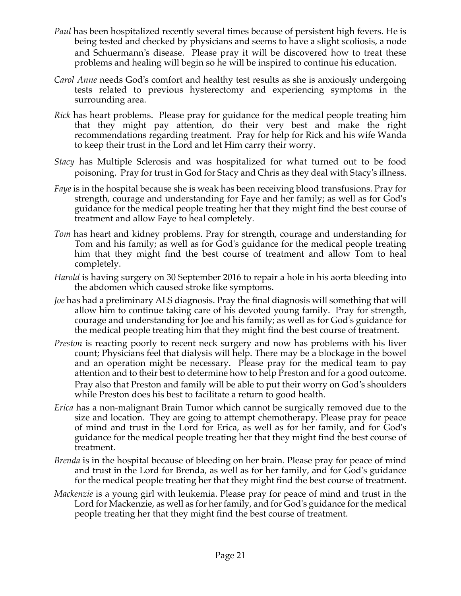- *Paul* has been hospitalized recently several times because of persistent high fevers. He is being tested and checked by physicians and seems to have a slight scoliosis, a node and Schuermann's disease. Please pray it will be discovered how to treat these problems and healing will begin so he will be inspired to continue his education.
- *Carol Anne* needs God's comfort and healthy test results as she is anxiously undergoing tests related to previous hysterectomy and experiencing symptoms in the surrounding area.
- *Rick* has heart problems. Please pray for guidance for the medical people treating him that they might pay attention, do their very best and make the right recommendations regarding treatment. Pray for help for Rick and his wife Wanda to keep their trust in the Lord and let Him carry their worry.
- *Stacy* has Multiple Sclerosis and was hospitalized for what turned out to be food poisoning. Pray for trust in God for Stacy and Chris as they deal with Stacy's illness.
- *Faye* is in the hospital because she is weak has been receiving blood transfusions. Pray for strength, courage and understanding for Faye and her family; as well as for God's guidance for the medical people treating her that they might find the best course of treatment and allow Faye to heal completely.
- *Tom* has heart and kidney problems. Pray for strength, courage and understanding for Tom and his family; as well as for God's guidance for the medical people treating him that they might find the best course of treatment and allow Tom to heal completely.
- *Harold* is having surgery on 30 September 2016 to repair a hole in his aorta bleeding into the abdomen which caused stroke like symptoms.
- *Joe* has had a preliminary ALS diagnosis. Pray the final diagnosis will something that will allow him to continue taking care of his devoted young family. Pray for strength, courage and understanding for Joe and his family; as well as for God's guidance for the medical people treating him that they might find the best course of treatment.
- *Preston* is reacting poorly to recent neck surgery and now has problems with his liver count; Physicians feel that dialysis will help. There may be a blockage in the bowel and an operation might be necessary. Please pray for the medical team to pay attention and to their best to determine how to help Preston and for a good outcome. Pray also that Preston and family will be able to put their worry on God's shoulders while Preston does his best to facilitate a return to good health.
- *Erica* has a non-malignant Brain Tumor which cannot be surgically removed due to the size and location. They are going to attempt chemotherapy. Please pray for peace of mind and trust in the Lord for Erica, as well as for her family, and for God's guidance for the medical people treating her that they might find the best course of treatment.
- *Brenda* is in the hospital because of bleeding on her brain. Please pray for peace of mind and trust in the Lord for Brenda, as well as for her family, and for God's guidance for the medical people treating her that they might find the best course of treatment.
- *Mackenzie* is a young girl with leukemia. Please pray for peace of mind and trust in the Lord for Mackenzie, as well as for her family, and for God's guidance for the medical people treating her that they might find the best course of treatment.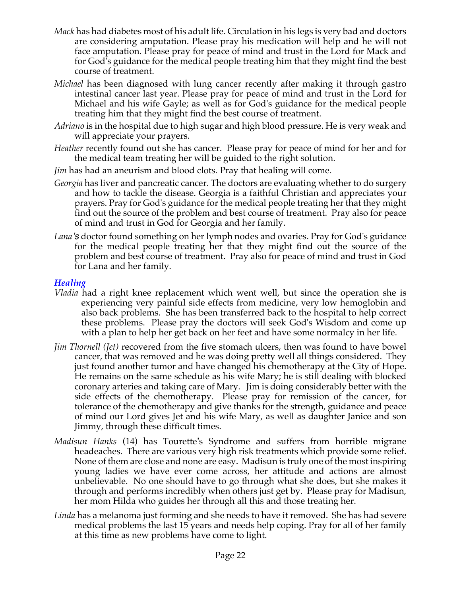- *Mack* has had diabetes most of his adult life. Circulation in his legs is very bad and doctors are considering amputation. Please pray his medication will help and he will not face amputation. Please pray for peace of mind and trust in the Lord for Mack and for God's guidance for the medical people treating him that they might find the best course of treatment.
- *Michael* has been diagnosed with lung cancer recently after making it through gastro intestinal cancer last year. Please pray for peace of mind and trust in the Lord for Michael and his wife Gayle; as well as for God's guidance for the medical people treating him that they might find the best course of treatment.
- *Adriano* is in the hospital due to high sugar and high blood pressure. He is very weak and will appreciate your prayers.
- *Heather* recently found out she has cancer. Please pray for peace of mind for her and for the medical team treating her will be guided to the right solution.
- *Jim* has had an aneurism and blood clots. Pray that healing will come.
- *Georgia* has liver and pancreatic cancer. The doctors are evaluating whether to do surgery and how to tackle the disease. Georgia is a faithful Christian and appreciates your prayers. Pray for God's guidance for the medical people treating her that they might find out the source of the problem and best course of treatment. Pray also for peace of mind and trust in God for Georgia and her family.
- *Lana's* doctor found something on her lymph nodes and ovaries. Pray for God's guidance for the medical people treating her that they might find out the source of the problem and best course of treatment. Pray also for peace of mind and trust in God for Lana and her family.

#### *Healing*

- *Vladia* had a right knee replacement which went well, but since the operation she is experiencing very painful side effects from medicine, very low hemoglobin and also back problems. She has been transferred back to the hospital to help correct these problems. Please pray the doctors will seek God's Wisdom and come up with a plan to help her get back on her feet and have some normalcy in her life.
- *Jim Thornell (Jet)* recovered from the five stomach ulcers, then was found to have bowel cancer, that was removed and he was doing pretty well all things considered. They just found another tumor and have changed his chemotherapy at the City of Hope. He remains on the same schedule as his wife Mary; he is still dealing with blocked coronary arteries and taking care of Mary. Jim is doing considerably better with the side effects of the chemotherapy. Please pray for remission of the cancer, for tolerance of the chemotherapy and give thanks for the strength, guidance and peace of mind our Lord gives Jet and his wife Mary, as well as daughter Janice and son Jimmy, through these difficult times.
- *Madisun Hanks* (14) has Tourette's Syndrome and suffers from horrible migrane headeaches. There are various very high risk treatments which provide some relief. None of them are close and none are easy. Madisun is truly one of the most inspiring young ladies we have ever come across, her attitude and actions are almost unbelievable. No one should have to go through what she does, but she makes it through and performs incredibly when others just get by. Please pray for Madisun, her mom Hilda who guides her through all this and those treating her.
- *Linda* has a melanoma just forming and she needs to have it removed. She has had severe medical problems the last 15 years and needs help coping. Pray for all of her family at this time as new problems have come to light.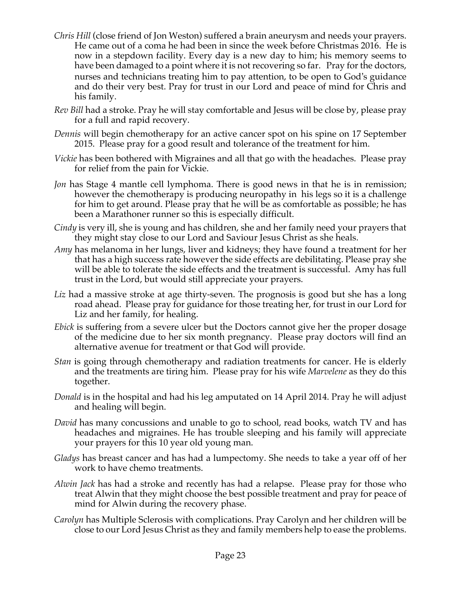- *Chris Hill* (close friend of Jon Weston) suffered a brain aneurysm and needs your prayers. He came out of a coma he had been in since the week before Christmas 2016. He is now in a stepdown facility. Every day is a new day to him; his memory seems to have been damaged to a point where it is not recovering so far. Pray for the doctors, nurses and technicians treating him to pay attention, to be open to God's guidance and do their very best. Pray for trust in our Lord and peace of mind for Chris and his family.
- *Rev Bill* had a stroke. Pray he will stay comfortable and Jesus will be close by, please pray for a full and rapid recovery.
- *Dennis* will begin chemotherapy for an active cancer spot on his spine on 17 September 2015. Please pray for a good result and tolerance of the treatment for him.
- *Vickie* has been bothered with Migraines and all that go with the headaches. Please pray for relief from the pain for Vickie.
- *Jon* has Stage 4 mantle cell lymphoma. There is good news in that he is in remission; however the chemotherapy is producing neuropathy in his legs so it is a challenge for him to get around. Please pray that he will be as comfortable as possible; he has been a Marathoner runner so this is especially difficult.
- *Cindy* is very ill, she is young and has children, she and her family need your prayers that they might stay close to our Lord and Saviour Jesus Christ as she heals.
- *Amy* has melanoma in her lungs, liver and kidneys; they have found a treatment for her that has a high success rate however the side effects are debilitating. Please pray she will be able to tolerate the side effects and the treatment is successful. Amy has full trust in the Lord, but would still appreciate your prayers.
- Liz had a massive stroke at age thirty-seven. The prognosis is good but she has a long road ahead. Please pray for guidance for those treating her, for trust in our Lord for Liz and her family, for healing.
- *Ebick* is suffering from a severe ulcer but the Doctors cannot give her the proper dosage of the medicine due to her six month pregnancy. Please pray doctors will find an alternative avenue for treatment or that God will provide.
- *Stan* is going through chemotherapy and radiation treatments for cancer. He is elderly and the treatments are tiring him. Please pray for his wife *Marvelene* as they do this together.
- *Donald* is in the hospital and had his leg amputated on 14 April 2014. Pray he will adjust and healing will begin.
- *David* has many concussions and unable to go to school, read books, watch TV and has headaches and migraines. He has trouble sleeping and his family will appreciate your prayers for this 10 year old young man.
- *Gladys* has breast cancer and has had a lumpectomy. She needs to take a year off of her work to have chemo treatments.
- *Alwin Jack* has had a stroke and recently has had a relapse. Please pray for those who treat Alwin that they might choose the best possible treatment and pray for peace of mind for Alwin during the recovery phase.
- *Carolyn* has Multiple Sclerosis with complications. Pray Carolyn and her children will be close to our Lord Jesus Christ as they and family members help to ease the problems.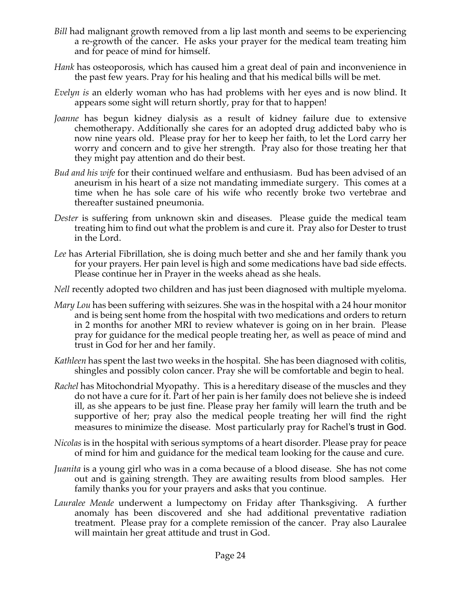- *Bill* had malignant growth removed from a lip last month and seems to be experiencing a re-growth of the cancer. He asks your prayer for the medical team treating him and for peace of mind for himself.
- *Hank* has osteoporosis, which has caused him a great deal of pain and inconvenience in the past few years. Pray for his healing and that his medical bills will be met.
- *Evelyn is* an elderly woman who has had problems with her eyes and is now blind. It appears some sight will return shortly, pray for that to happen!
- *Joanne* has begun kidney dialysis as a result of kidney failure due to extensive chemotherapy. Additionally she cares for an adopted drug addicted baby who is now nine years old. Please pray for her to keep her faith, to let the Lord carry her worry and concern and to give her strength. Pray also for those treating her that they might pay attention and do their best.
- *Bud and his wife* for their continued welfare and enthusiasm. Bud has been advised of an aneurism in his heart of a size not mandating immediate surgery. This comes at a time when he has sole care of his wife who recently broke two vertebrae and thereafter sustained pneumonia.
- *Dester* is suffering from unknown skin and diseases. Please guide the medical team treating him to find out what the problem is and cure it. Pray also for Dester to trust in the Lord.
- *Lee* has Arterial Fibrillation, she is doing much better and she and her family thank you for your prayers. Her pain level is high and some medications have bad side effects. Please continue her in Prayer in the weeks ahead as she heals.
- *Nell* recently adopted two children and has just been diagnosed with multiple myeloma.
- *Mary Lou* has been suffering with seizures. She was in the hospital with a 24 hour monitor and is being sent home from the hospital with two medications and orders to return in 2 months for another MRI to review whatever is going on in her brain. Please pray for guidance for the medical people treating her, as well as peace of mind and trust in God for her and her family.
- *Kathleen* has spent the last two weeks in the hospital. She has been diagnosed with colitis, shingles and possibly colon cancer. Pray she will be comfortable and begin to heal.
- *Rachel* has Mitochondrial Myopathy. This is a hereditary disease of the muscles and they do not have a cure for it. Part of her pain is her family does not believe she is indeed ill, as she appears to be just fine. Please pray her family will learn the truth and be supportive of her; pray also the medical people treating her will find the right measures to minimize the disease. Most particularly pray for Rachel's trust in God.
- *Nicolas* is in the hospital with serious symptoms of a heart disorder. Please pray for peace of mind for him and guidance for the medical team looking for the cause and cure.
- *Juanita* is a young girl who was in a coma because of a blood disease. She has not come out and is gaining strength. They are awaiting results from blood samples. Her family thanks you for your prayers and asks that you continue.
- *Lauralee Meade* underwent a lumpectomy on Friday after Thanksgiving. A further anomaly has been discovered and she had additional preventative radiation treatment. Please pray for a complete remission of the cancer. Pray also Lauralee will maintain her great attitude and trust in God.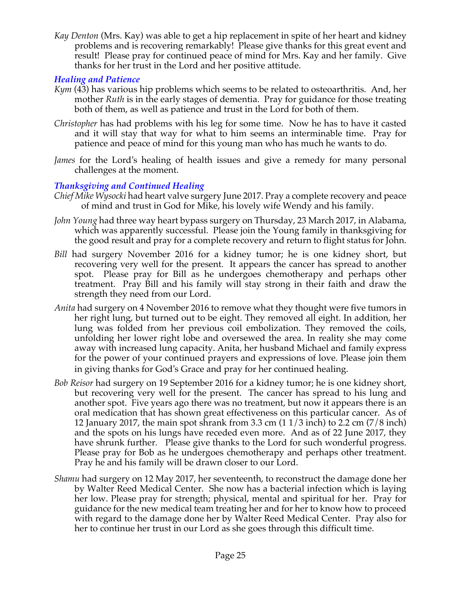*Kay Denton* (Mrs. Kay) was able to get a hip replacement in spite of her heart and kidney problems and is recovering remarkably! Please give thanks for this great event and result! Please pray for continued peace of mind for Mrs. Kay and her family. Give thanks for her trust in the Lord and her positive attitude.

#### *Healing and Patience*

- *Kym* (43) has various hip problems which seems to be related to osteoarthritis. And, her mother *Ruth* is in the early stages of dementia. Pray for guidance for those treating both of them, as well as patience and trust in the Lord for both of them.
- *Christopher* has had problems with his leg for some time. Now he has to have it casted and it will stay that way for what to him seems an interminable time. Pray for patience and peace of mind for this young man who has much he wants to do.
- *James* for the Lord's healing of health issues and give a remedy for many personal challenges at the moment.

#### *Thanksgiving and Continued Healing*

- *Chief Mike Wysocki* had heart valve surgery June 2017. Pray a complete recovery and peace of mind and trust in God for Mike, his lovely wife Wendy and his family.
- *John Young* had three way heart bypass surgery on Thursday, 23 March 2017, in Alabama, which was apparently successful. Please join the Young family in thanksgiving for the good result and pray for a complete recovery and return to flight status for John.
- *Bill* had surgery November 2016 for a kidney tumor; he is one kidney short, but recovering very well for the present. It appears the cancer has spread to another spot. Please pray for Bill as he undergoes chemotherapy and perhaps other treatment. Pray Bill and his family will stay strong in their faith and draw the strength they need from our Lord.
- *Anita* had surgery on 4 November 2016 to remove what they thought were five tumors in her right lung, but turned out to be eight. They removed all eight. In addition, her lung was folded from her previous coil embolization. They removed the coils, unfolding her lower right lobe and oversewed the area. In reality she may come away with increased lung capacity. Anita, her husband Michael and family express for the power of your continued prayers and expressions of love. Please join them in giving thanks for God's Grace and pray for her continued healing.
- *Bob Reisor* had surgery on 19 September 2016 for a kidney tumor; he is one kidney short, but recovering very well for the present. The cancer has spread to his lung and another spot. Five years ago there was no treatment, but now it appears there is an oral medication that has shown great effectiveness on this particular cancer. As of 12 January 2017, the main spot shrank from 3.3 cm (1 1/3 inch) to 2.2 cm (7/8 inch) and the spots on his lungs have receded even more. And as of 22 June 2017, they have shrunk further. Please give thanks to the Lord for such wonderful progress. Please pray for Bob as he undergoes chemotherapy and perhaps other treatment. Pray he and his family will be drawn closer to our Lord.
- *Shamu* had surgery on 12 May 2017, her seventeenth, to reconstruct the damage done her by Walter Reed Medical Center. She now has a bacterial infection which is laying her low. Please pray for strength; physical, mental and spiritual for her. Pray for guidance for the new medical team treating her and for her to know how to proceed with regard to the damage done her by Walter Reed Medical Center. Pray also for her to continue her trust in our Lord as she goes through this difficult time.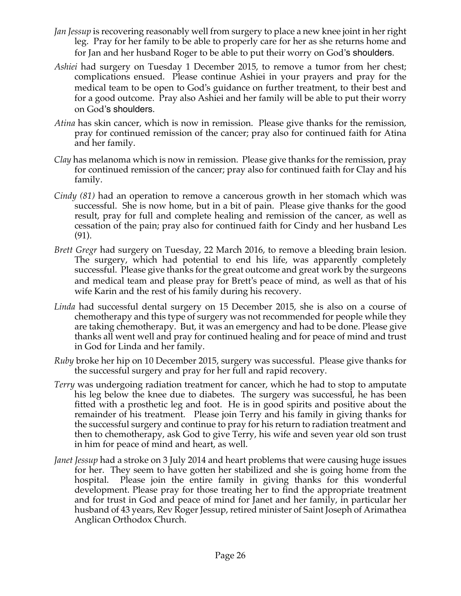- *Jan Jessup* is recovering reasonably well from surgery to place a new knee joint in her right leg. Pray for her family to be able to properly care for her as she returns home and for Jan and her husband Roger to be able to put their worry on God's shoulders.
- *Ashiei* had surgery on Tuesday 1 December 2015, to remove a tumor from her chest; complications ensued. Please continue Ashiei in your prayers and pray for the medical team to be open to God's guidance on further treatment, to their best and for a good outcome. Pray also Ashiei and her family will be able to put their worry on God's shoulders.
- *Atina* has skin cancer, which is now in remission. Please give thanks for the remission, pray for continued remission of the cancer; pray also for continued faith for Atina and her family.
- *Clay* has melanoma which is now in remission. Please give thanks for the remission, pray for continued remission of the cancer; pray also for continued faith for Clay and his family.
- *Cindy (81)* had an operation to remove a cancerous growth in her stomach which was successful. She is now home, but in a bit of pain. Please give thanks for the good result, pray for full and complete healing and remission of the cancer, as well as cessation of the pain; pray also for continued faith for Cindy and her husband Les (91).
- *Brett Gregr* had surgery on Tuesday, 22 March 2016, to remove a bleeding brain lesion. The surgery, which had potential to end his life, was apparently completely successful. Please give thanks for the great outcome and great work by the surgeons and medical team and please pray for Brett's peace of mind, as well as that of his wife Karin and the rest of his family during his recovery.
- *Linda* had successful dental surgery on 15 December 2015, she is also on a course of chemotherapy and this type of surgery was not recommended for people while they are taking chemotherapy. But, it was an emergency and had to be done. Please give thanks all went well and pray for continued healing and for peace of mind and trust in God for Linda and her family.
- *Ruby* broke her hip on 10 December 2015, surgery was successful. Please give thanks for the successful surgery and pray for her full and rapid recovery.
- *Terry* was undergoing radiation treatment for cancer, which he had to stop to amputate his leg below the knee due to diabetes. The surgery was successful, he has been fitted with a prosthetic leg and foot. He is in good spirits and positive about the remainder of his treatment. Please join Terry and his family in giving thanks for the successful surgery and continue to pray for his return to radiation treatment and then to chemotherapy, ask God to give Terry, his wife and seven year old son trust in him for peace of mind and heart, as well.
- *Janet Jessup* had a stroke on 3 July 2014 and heart problems that were causing huge issues for her. They seem to have gotten her stabilized and she is going home from the hospital. Please join the entire family in giving thanks for this wonderful development. Please pray for those treating her to find the appropriate treatment and for trust in God and peace of mind for Janet and her family, in particular her husband of 43 years, Rev Roger Jessup, retired minister of Saint Joseph of Arimathea Anglican Orthodox Church.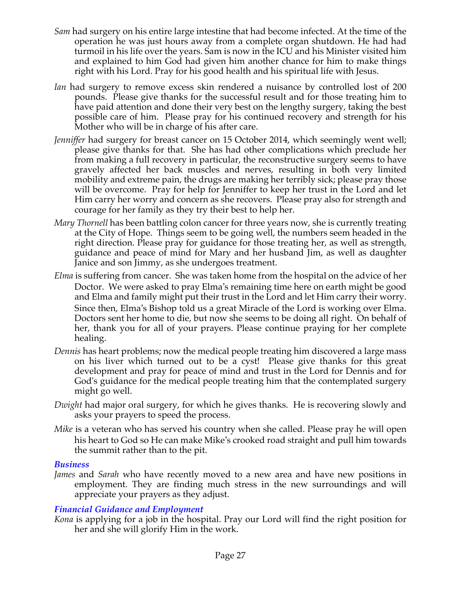- *Sam* had surgery on his entire large intestine that had become infected. At the time of the operation he was just hours away from a complete organ shutdown. He had had turmoil in his life over the years. Sam is now in the ICU and his Minister visited him and explained to him God had given him another chance for him to make things right with his Lord. Pray for his good health and his spiritual life with Jesus.
- *Ian* had surgery to remove excess skin rendered a nuisance by controlled lost of 200 pounds. Please give thanks for the successful result and for those treating him to have paid attention and done their very best on the lengthy surgery, taking the best possible care of him. Please pray for his continued recovery and strength for his Mother who will be in charge of his after care.
- *Jenniffer* had surgery for breast cancer on 15 October 2014, which seemingly went well; please give thanks for that. She has had other complications which preclude her from making a full recovery in particular, the reconstructive surgery seems to have gravely affected her back muscles and nerves, resulting in both very limited mobility and extreme pain, the drugs are making her terribly sick; please pray those will be overcome. Pray for help for Jenniffer to keep her trust in the Lord and let Him carry her worry and concern as she recovers. Please pray also for strength and courage for her family as they try their best to help her.
- *Mary Thornell* has been battling colon cancer for three years now, she is currently treating at the City of Hope. Things seem to be going well, the numbers seem headed in the right direction. Please pray for guidance for those treating her, as well as strength, guidance and peace of mind for Mary and her husband Jim, as well as daughter Janice and son Jimmy, as she undergoes treatment.
- *Elma* is suffering from cancer. She was taken home from the hospital on the advice of her Doctor. We were asked to pray Elma's remaining time here on earth might be good and Elma and family might put their trust in the Lord and let Him carry their worry. Since then, Elma's Bishop told us a great Miracle of the Lord is working over Elma. Doctors sent her home to die, but now she seems to be doing all right. On behalf of her, thank you for all of your prayers. Please continue praying for her complete healing.
- *Dennis* has heart problems; now the medical people treating him discovered a large mass on his liver which turned out to be a cyst! Please give thanks for this great development and pray for peace of mind and trust in the Lord for Dennis and for God's guidance for the medical people treating him that the contemplated surgery might go well.
- *Dwight* had major oral surgery, for which he gives thanks. He is recovering slowly and asks your prayers to speed the process.
- *Mike* is a veteran who has served his country when she called. Please pray he will open his heart to God so He can make Mike's crooked road straight and pull him towards the summit rather than to the pit.

#### *Business*

*James* and *Sarah* who have recently moved to a new area and have new positions in employment. They are finding much stress in the new surroundings and will appreciate your prayers as they adjust.

#### *Financial Guidance and Employment*

*Kona* is applying for a job in the hospital. Pray our Lord will find the right position for her and she will glorify Him in the work.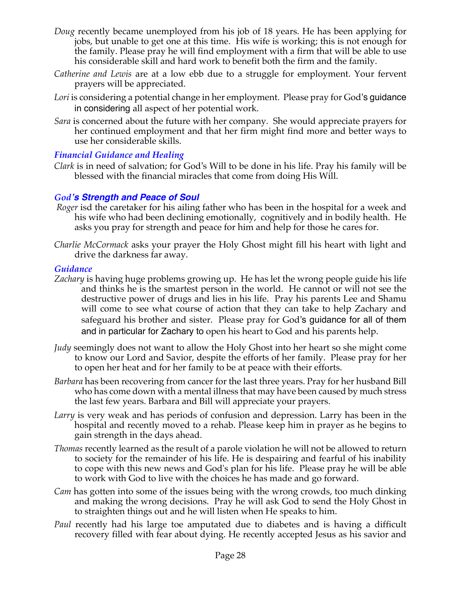- *Doug* recently became unemployed from his job of 18 years. He has been applying for jobs, but unable to get one at this time. His wife is working; this is not enough for the family. Please pray he will find employment with a firm that will be able to use his considerable skill and hard work to benefit both the firm and the family.
- *Catherine and Lewis* are at a low ebb due to a struggle for employment. Your fervent prayers will be appreciated.
- *Lori* is considering a potential change in her employment. Please pray for God's guidance in considering all aspect of her potential work.
- *Sara* is concerned about the future with her company. She would appreciate prayers for her continued employment and that her firm might find more and better ways to use her considerable skills.

## *Financial Guidance and Healing*

*Clark* is in need of salvation; for God's Will to be done in his life. Pray his family will be blessed with the financial miracles that come from doing His Will.

## *God's Strength and Peace of Soul*

- *Roger* isd the caretaker for his ailing father who has been in the hospital for a week and his wife who had been declining emotionally, cognitively and in bodily health. He asks you pray for strength and peace for him and help for those he cares for.
- *Charlie McCormack* asks your prayer the Holy Ghost might fill his heart with light and drive the darkness far away.

#### *Guidance*

- *Zachary* is having huge problems growing up. He has let the wrong people guide his life and thinks he is the smartest person in the world. He cannot or will not see the destructive power of drugs and lies in his life. Pray his parents Lee and Shamu will come to see what course of action that they can take to help Zachary and safeguard his brother and sister. Please pray for God's guidance for all of them and in particular for Zachary to open his heart to God and his parents help.
- *Judy* seemingly does not want to allow the Holy Ghost into her heart so she might come to know our Lord and Savior, despite the efforts of her family. Please pray for her to open her heat and for her family to be at peace with their efforts.
- *Barbara* has been recovering from cancer for the last three years. Pray for her husband Bill who has come down with a mental illness that may have been caused by much stress the last few years. Barbara and Bill will appreciate your prayers.
- *Larry* is very weak and has periods of confusion and depression. Larry has been in the hospital and recently moved to a rehab. Please keep him in prayer as he begins to gain strength in the days ahead.
- *Thomas* recently learned as the result of a parole violation he will not be allowed to return to society for the remainder of his life. He is despairing and fearful of his inability to cope with this new news and God's plan for his life. Please pray he will be able to work with God to live with the choices he has made and go forward.
- *Cam* has gotten into some of the issues being with the wrong crowds, too much dinking and making the wrong decisions. Pray he will ask God to send the Holy Ghost in to straighten things out and he will listen when He speaks to him.
- *Paul* recently had his large toe amputated due to diabetes and is having a difficult recovery filled with fear about dying. He recently accepted Jesus as his savior and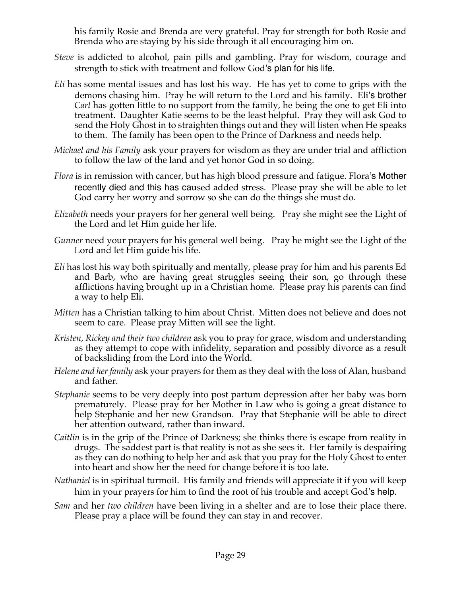his family Rosie and Brenda are very grateful. Pray for strength for both Rosie and Brenda who are staying by his side through it all encouraging him on.

- *Steve* is addicted to alcohol, pain pills and gambling. Pray for wisdom, courage and strength to stick with treatment and follow God's plan for his life.
- *Eli* has some mental issues and has lost his way. He has yet to come to grips with the demons chasing him. Pray he will return to the Lord and his family. Eli's brother *Carl* has gotten little to no support from the family, he being the one to get Eli into treatment. Daughter Katie seems to be the least helpful. Pray they will ask God to send the Holy Ghost in to straighten things out and they will listen when He speaks to them. The family has been open to the Prince of Darkness and needs help.
- *Michael and his Family* ask your prayers for wisdom as they are under trial and affliction to follow the law of the land and yet honor God in so doing.
- *Flora* is in remission with cancer, but has high blood pressure and fatigue. Flora's Mother recently died and this has caused added stress. Please pray she will be able to let God carry her worry and sorrow so she can do the things she must do.
- *Elizabeth* needs your prayers for her general well being. Pray she might see the Light of the Lord and let Him guide her life.
- *Gunner* need your prayers for his general well being. Pray he might see the Light of the Lord and let Him guide his life.
- *Eli* has lost his way both spiritually and mentally, please pray for him and his parents Ed and Barb, who are having great struggles seeing their son, go through these afflictions having brought up in a Christian home. Please pray his parents can find a way to help Eli.
- *Mitten* has a Christian talking to him about Christ. Mitten does not believe and does not seem to care. Please pray Mitten will see the light.
- *Kristen, Rickey and their two children* ask you to pray for grace, wisdom and understanding as they attempt to cope with infidelity, separation and possibly divorce as a result of backsliding from the Lord into the World.
- *Helene and her family* ask your prayers for them as they deal with the loss of Alan, husband and father.
- *Stephanie* seems to be very deeply into post partum depression after her baby was born prematurely. Please pray for her Mother in Law who is going a great distance to help Stephanie and her new Grandson. Pray that Stephanie will be able to direct her attention outward, rather than inward.
- *Caitlin* is in the grip of the Prince of Darkness; she thinks there is escape from reality in drugs. The saddest part is that reality is not as she sees it. Her family is despairing as they can do nothing to help her and ask that you pray for the Holy Ghost to enter into heart and show her the need for change before it is too late.
- *Nathaniel* is in spiritual turmoil. His family and friends will appreciate it if you will keep him in your prayers for him to find the root of his trouble and accept God's help.
- *Sam* and her *two children* have been living in a shelter and are to lose their place there. Please pray a place will be found they can stay in and recover.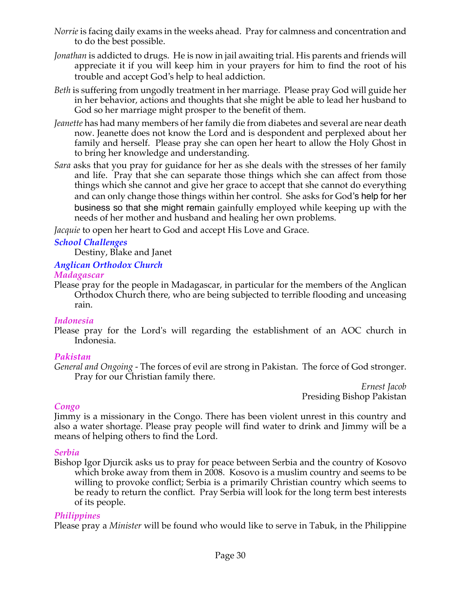- *Norrie* is facing daily exams in the weeks ahead. Pray for calmness and concentration and to do the best possible.
- *Jonathan* is addicted to drugs. He is now in jail awaiting trial. His parents and friends will appreciate it if you will keep him in your prayers for him to find the root of his trouble and accept God's help to heal addiction.
- *Beth* is suffering from ungodly treatment in her marriage. Please pray God will guide her in her behavior, actions and thoughts that she might be able to lead her husband to God so her marriage might prosper to the benefit of them.
- *Jeanette* has had many members of her family die from diabetes and several are near death now. Jeanette does not know the Lord and is despondent and perplexed about her family and herself. Please pray she can open her heart to allow the Holy Ghost in to bring her knowledge and understanding.
- *Sara* asks that you pray for guidance for her as she deals with the stresses of her family and life. Pray that she can separate those things which she can affect from those things which she cannot and give her grace to accept that she cannot do everything and can only change those things within her control. She asks for God's help for her business so that she might remain gainfully employed while keeping up with the needs of her mother and husband and healing her own problems.

*Jacquie* to open her heart to God and accept His Love and Grace.

## *School Challenges*

Destiny, Blake and Janet

# *Anglican Orthodox Church*

*Madagascar*

Please pray for the people in Madagascar, in particular for the members of the Anglican Orthodox Church there, who are being subjected to terrible flooding and unceasing rain.

## *Indonesia*

Please pray for the Lord's will regarding the establishment of an AOC church in Indonesia.

## *Pakistan*

*General and Ongoing -* The forces of evil are strong in Pakistan. The force of God stronger. Pray for our Christian family there.

*Ernest Jacob* Presiding Bishop Pakistan

## *Congo*

Jimmy is a missionary in the Congo. There has been violent unrest in this country and also a water shortage. Please pray people will find water to drink and Jimmy will be a means of helping others to find the Lord.

## *Serbia*

Bishop Igor Djurcik asks us to pray for peace between Serbia and the country of Kosovo which broke away from them in 2008. Kosovo is a muslim country and seems to be willing to provoke conflict; Serbia is a primarily Christian country which seems to be ready to return the conflict. Pray Serbia will look for the long term best interests of its people.

## *Philippines*

Please pray a *Minister* will be found who would like to serve in Tabuk, in the Philippine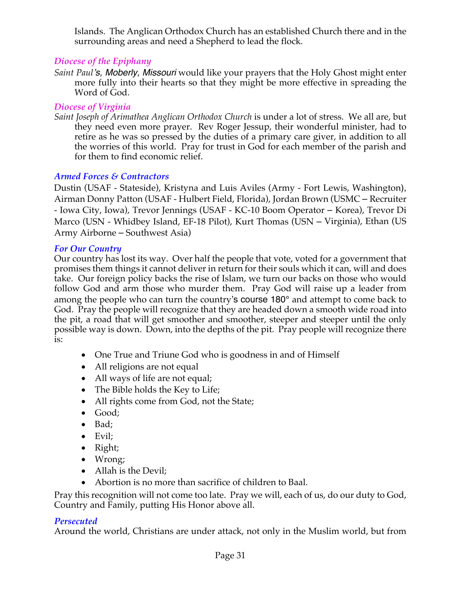Islands. The Anglican Orthodox Church has an established Church there and in the surrounding areas and need a Shepherd to lead the flock*.*

# *Diocese of the Epiphany*

*Saint Paul's, Moberly, Missouri* would like your prayers that the Holy Ghost might enter more fully into their hearts so that they might be more effective in spreading the Word of God.

# *Diocese of Virginia*

*Saint Joseph of Arimathea Anglican Orthodox Church* is under a lot of stress. We all are, but they need even more prayer. Rev Roger Jessup, their wonderful minister, had to retire as he was so pressed by the duties of a primary care giver, in addition to all the worries of this world. Pray for trust in God for each member of the parish and for them to find economic relief.

# *Armed Forces & Contractors*

Dustin (USAF - Stateside), Kristyna and Luis Aviles (Army - Fort Lewis, Washington), Airman Donny Patton (USAF - Hulbert Field, Florida), Jordan Brown (USMC – Recruiter - Iowa City, Iowa), Trevor Jennings (USAF - KC-10 Boom Operator – Korea), Trevor Di Marco (USN - Whidbey Island, EF-18 Pilot), Kurt Thomas (USN – Virginia), Ethan (US Army Airborne – Southwest Asia)

## *For Our Country*

Our country has lost its way. Over half the people that vote, voted for a government that promises them things it cannot deliver in return for their souls which it can, will and does take. Our foreign policy backs the rise of Islam, we turn our backs on those who would follow God and arm those who murder them. Pray God will raise up a leader from among the people who can turn the country's course 180° and attempt to come back to God. Pray the people will recognize that they are headed down a smooth wide road into the pit, a road that will get smoother and smoother, steeper and steeper until the only possible way is down. Down, into the depths of the pit. Pray people will recognize there is:

- One True and Triune God who is goodness in and of Himself
- All religions are not equal
- All ways of life are not equal;
- The Bible holds the Key to Life;
- All rights come from God, not the State;
- Good;
- Bad;
- Evil;
- Right;
- Wrong;
- Allah is the Devil;
- Abortion is no more than sacrifice of children to Baal.

Pray this recognition will not come too late. Pray we will, each of us, do our duty to God, Country and Family, putting His Honor above all.

## *Persecuted*

Around the world, Christians are under attack, not only in the Muslim world, but from